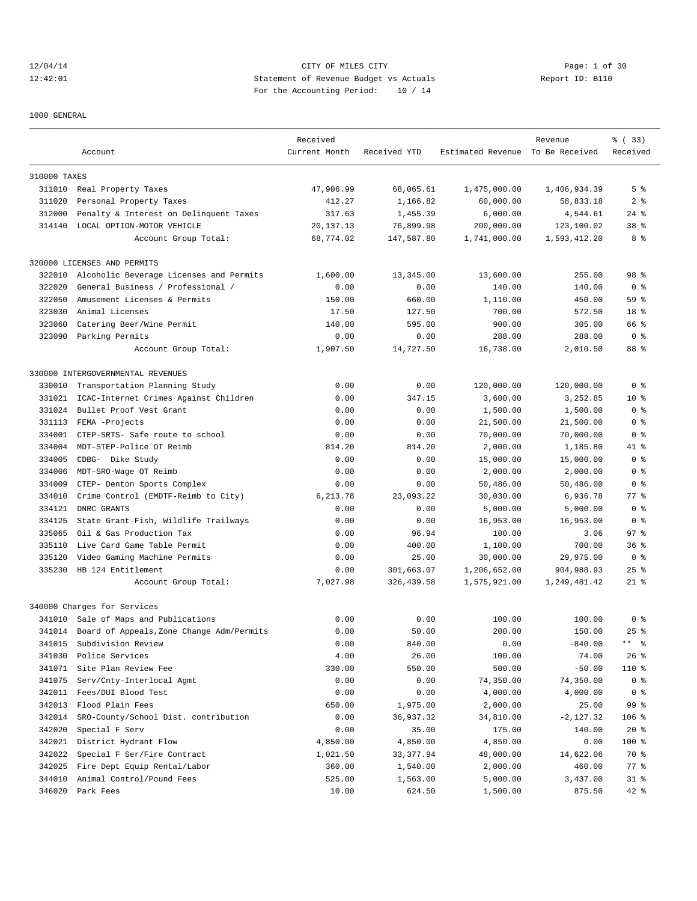# 12/04/14 CITY OF MILES CITY Page: 1 of 30 12:42:01 Statement of Revenue Budget vs Actuals Report ID: B110 For the Accounting Period: 10 / 14

1000 GENERAL

|              | Account                                   | Received<br>Current Month | Received YTD | Estimated Revenue To Be Received | Revenue      | % ( 33)<br>Received |
|--------------|-------------------------------------------|---------------------------|--------------|----------------------------------|--------------|---------------------|
|              |                                           |                           |              |                                  |              |                     |
| 310000 TAXES |                                           |                           |              |                                  |              |                     |
| 311010       | Real Property Taxes                       | 47,906.99                 | 68,065.61    | 1,475,000.00                     | 1,406,934.39 | 5 <sup>8</sup>      |
| 311020       | Personal Property Taxes                   | 412.27                    | 1,166.82     | 60,000.00                        | 58,833.18    | 2 <sub>8</sub>      |
| 312000       | Penalty & Interest on Delinquent Taxes    | 317.63                    | 1,455.39     | 6,000.00                         | 4,544.61     | $24$ %              |
| 314140       | LOCAL OPTION-MOTOR VEHICLE                | 20, 137. 13               | 76,899.98    | 200,000.00                       | 123,100.02   | 38 <sup>8</sup>     |
|              | Account Group Total:                      | 68,774.02                 | 147,587.80   | 1,741,000.00                     | 1,593,412.20 | 8 %                 |
|              | 320000 LICENSES AND PERMITS               |                           |              |                                  |              |                     |
| 322010       | Alcoholic Beverage Licenses and Permits   | 1,600.00                  | 13,345.00    | 13,600.00                        | 255.00       | 98 <sup>8</sup>     |
| 322020       | General Business / Professional /         | 0.00                      | 0.00         | 140.00                           | 140.00       | 0 <sub>8</sub>      |
| 322050       | Amusement Licenses & Permits              | 150.00                    | 660.00       | 1,110.00                         | 450.00       | 59%                 |
| 323030       | Animal Licenses                           | 17.50                     | 127.50       | 700.00                           | 572.50       | 18 <sup>8</sup>     |
| 323060       | Catering Beer/Wine Permit                 | 140.00                    | 595.00       | 900.00                           | 305.00       | 66 %                |
| 323090       | Parking Permits                           | 0.00                      | 0.00         | 288.00                           | 288.00       | 0 <sup>8</sup>      |
|              | Account Group Total:                      | 1,907.50                  | 14,727.50    | 16,738.00                        | 2,010.50     | 88 %                |
|              | 330000 INTERGOVERNMENTAL REVENUES         |                           |              |                                  |              |                     |
| 330010       | Transportation Planning Study             | 0.00                      | 0.00         | 120,000.00                       | 120,000.00   | 0 <sup>8</sup>      |
| 331021       | ICAC-Internet Crimes Against Children     | 0.00                      | 347.15       | 3,600.00                         | 3,252.85     | $10*$               |
| 331024       | Bullet Proof Vest Grant                   | 0.00                      | 0.00         | 1,500.00                         | 1,500.00     | 0 <sup>8</sup>      |
| 331113       | FEMA -Projects                            | 0.00                      | 0.00         | 21,500.00                        | 21,500.00    | 0 %                 |
| 334001       | CTEP-SRTS- Safe route to school           | 0.00                      | 0.00         | 70,000.00                        | 70,000.00    | 0 <sub>8</sub>      |
| 334004       | MDT-STEP-Police OT Reimb                  | 814.20                    | 814.20       | 2,000.00                         | 1,185.80     | 41 %                |
| 334005       |                                           | 0.00                      |              |                                  |              | 0 <sup>8</sup>      |
|              | CDBG- Dike Study                          |                           | 0.00         | 15,000.00                        | 15,000.00    |                     |
| 334006       | MDT-SRO-Wage OT Reimb                     | 0.00                      | 0.00         | 2,000.00                         | 2,000.00     | 0 <sub>8</sub>      |
| 334009       | CTEP- Denton Sports Complex               | 0.00                      | 0.00         | 50,486.00                        | 50,486.00    | 0 <sup>8</sup>      |
| 334010       | Crime Control (EMDTF-Reimb to City)       | 6,213.78                  | 23,093.22    | 30,030.00                        | 6,936.78     | $77$ $%$            |
| 334121       | DNRC GRANTS                               | 0.00                      | 0.00         | 5,000.00                         | 5,000.00     | 0 <sup>8</sup>      |
| 334125       | State Grant-Fish, Wildlife Trailways      | 0.00                      | 0.00         | 16,953.00                        | 16,953.00    | 0 <sup>8</sup>      |
| 335065       | Oil & Gas Production Tax                  | 0.00                      | 96.94        | 100.00                           | 3.06         | 97%                 |
| 335110       | Live Card Game Table Permit               | 0.00                      | 400.00       | 1,100.00                         | 700.00       | 36 <sup>8</sup>     |
| 335120       | Video Gaming Machine Permits              | 0.00                      | 25.00        | 30,000.00                        | 29,975.00    | 0 <sup>8</sup>      |
| 335230       | HB 124 Entitlement                        | 0.00                      | 301,663.07   | 1,206,652.00                     | 904,988.93   | $25$ %              |
|              | Account Group Total:                      | 7,027.98                  | 326,439.58   | 1,575,921.00                     | 1,249,481.42 | $21$ %              |
|              | 340000 Charges for Services               |                           |              |                                  |              |                     |
|              | 341010 Sale of Maps and Publications      | 0.00                      | 0.00         | 100.00                           | 100.00       | 0 <sup>8</sup>      |
| 341014       | Board of Appeals, Zone Change Adm/Permits | 0.00                      | 50.00        | 200.00                           | 150.00       | $25$ %              |
| 341015       | Subdivision Review                        | 0.00                      | 840.00       | 0.00                             | $-840.00$    | ** 응                |
| 341030       | Police Services                           | 4.00                      | 26.00        | 100.00                           | 74.00        | $26$ %              |
| 341071       | Site Plan Review Fee                      | 330.00                    | 550.00       | 500.00                           | $-50.00$     | 110 %               |
| 341075       | Serv/Cnty-Interlocal Agmt                 | 0.00                      | 0.00         | 74,350.00                        | 74,350.00    | 0 <sub>8</sub>      |
| 342011       | Fees/DUI Blood Test                       | 0.00                      | 0.00         | 4,000.00                         | 4,000.00     | 0 <sub>8</sub>      |
| 342013       | Flood Plain Fees                          | 650.00                    | 1,975.00     | 2,000.00                         | 25.00        | 99 %                |
| 342014       | SRO-County/School Dist. contribution      | 0.00                      | 36,937.32    | 34,810.00                        | $-2,127.32$  | $106$ %             |
| 342020       | Special F Serv                            | 0.00                      | 35.00        | 175.00                           | 140.00       | $20*$               |
| 342021       | District Hydrant Flow                     | 4,850.00                  | 4,850.00     | 4,850.00                         | 0.00         | $100$ %             |
| 342022       | Special F Ser/Fire Contract               | 1,021.50                  | 33,377.94    | 48,000.00                        | 14,622.06    | 70 %                |
| 342025       | Fire Dept Equip Rental/Labor              | 360.00                    | 1,540.00     | 2,000.00                         | 460.00       | 77 %                |
| 344010       | Animal Control/Pound Fees                 | 525.00                    | 1,563.00     | 5,000.00                         | 3,437.00     | $31*$               |
|              | 346020 Park Fees                          | 10.00                     | 624.50       | 1,500.00                         | 875.50       | 42 %                |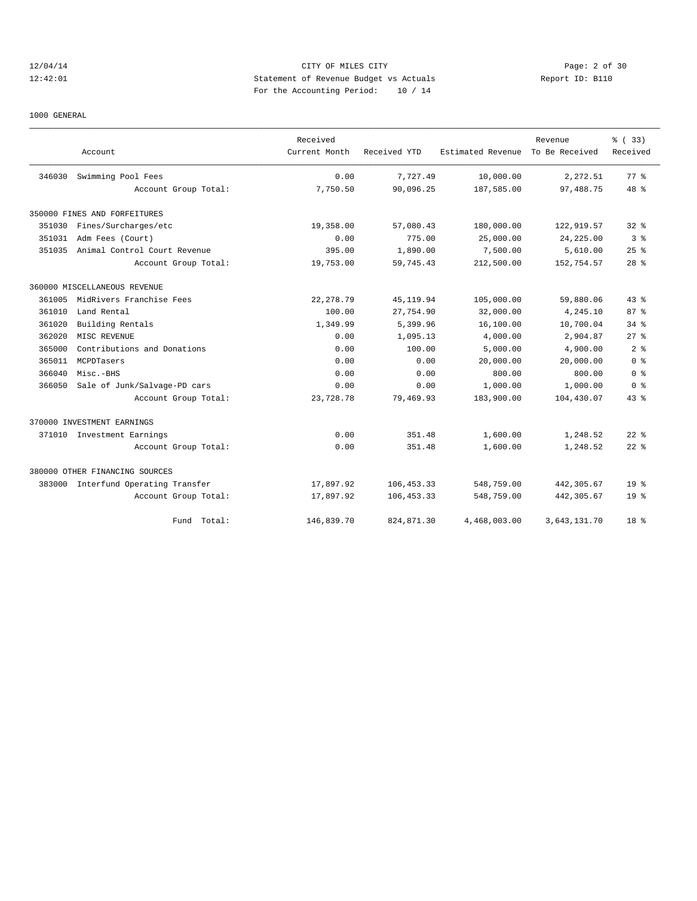# 12/04/14 CITY OF MILES CITY Page: 2 of 30 12:42:01 Statement of Revenue Budget vs Actuals Report ID: B110 For the Accounting Period: 10 / 14

1000 GENERAL

|        |                                     | Received      |              |                   | Revenue        | % ( 33)         |
|--------|-------------------------------------|---------------|--------------|-------------------|----------------|-----------------|
|        | Account                             | Current Month | Received YTD | Estimated Revenue | To Be Received | Received        |
| 346030 | Swimming Pool Fees                  | 0.00          | 7.727.49     | 10,000.00         | 2,272.51       | 77.8            |
|        | Account Group Total:                | 7,750.50      | 90,096.25    | 187,585.00        | 97,488.75      | $48*$           |
|        | 350000 FINES AND FORFEITURES        |               |              |                   |                |                 |
| 351030 | Fines/Surcharges/etc                | 19,358.00     | 57,080.43    | 180,000.00        | 122,919.57     | 328             |
| 351031 | Adm Fees (Court)                    | 0.00          | 775.00       | 25,000.00         | 24, 225.00     | 3 <sup>8</sup>  |
| 351035 | Animal Control Court Revenue        | 395.00        | 1,890.00     | 7,500.00          | 5,610.00       | 25%             |
|        | Account Group Total:                | 19,753.00     | 59,745.43    | 212,500.00        | 152,754.57     | $28$ %          |
|        | 360000 MISCELLANEOUS REVENUE        |               |              |                   |                |                 |
| 361005 | MidRivers Franchise Fees            | 22, 278.79    | 45, 119.94   | 105,000.00        | 59,880.06      | 43.8            |
| 361010 | Land Rental                         | 100.00        | 27,754.90    | 32,000.00         | 4,245.10       | 87%             |
| 361020 | Building Rentals                    | 1,349.99      | 5,399.96     | 16,100.00         | 10,700.04      | $34$ $%$        |
| 362020 | MISC REVENUE                        | 0.00          | 1,095.13     | 4,000.00          | 2,904.87       | 27%             |
| 365000 | Contributions and Donations         | 0.00          | 100.00       | 5,000.00          | 4,900.00       | 2 <sup>8</sup>  |
| 365011 | MCPDTasers                          | 0.00          | 0.00         | 20,000.00         | 20,000.00      | 0 <sup>8</sup>  |
| 366040 | Misc.-BHS                           | 0.00          | 0.00         | 800.00            | 800.00         | 0 <sup>8</sup>  |
| 366050 | Sale of Junk/Salvage-PD cars        | 0.00          | 0.00         | 1,000.00          | 1,000.00       | 0 <sup>8</sup>  |
|        | Account Group Total:                | 23,728.78     | 79,469.93    | 183,900.00        | 104,430.07     | $43$ %          |
|        | 370000 INVESTMENT EARNINGS          |               |              |                   |                |                 |
|        | 371010 Investment Earnings          | 0.00          | 351.48       | 1,600.00          | 1,248.52       | $22$ $%$        |
|        | Account Group Total:                | 0.00          | 351.48       | 1,600.00          | 1,248.52       | $22$ $%$        |
|        | 380000 OTHER FINANCING SOURCES      |               |              |                   |                |                 |
|        | 383000 Interfund Operating Transfer | 17,897.92     | 106, 453.33  | 548,759.00        | 442,305.67     | 19 <sup>°</sup> |
|        | Account Group Total:                | 17,897.92     | 106, 453.33  | 548,759.00        | 442,305.67     | 19 <sup>°</sup> |
|        | Total:<br>Fund                      | 146,839.70    | 824,871.30   | 4,468,003.00      | 3,643,131.70   | 18 <sup>8</sup> |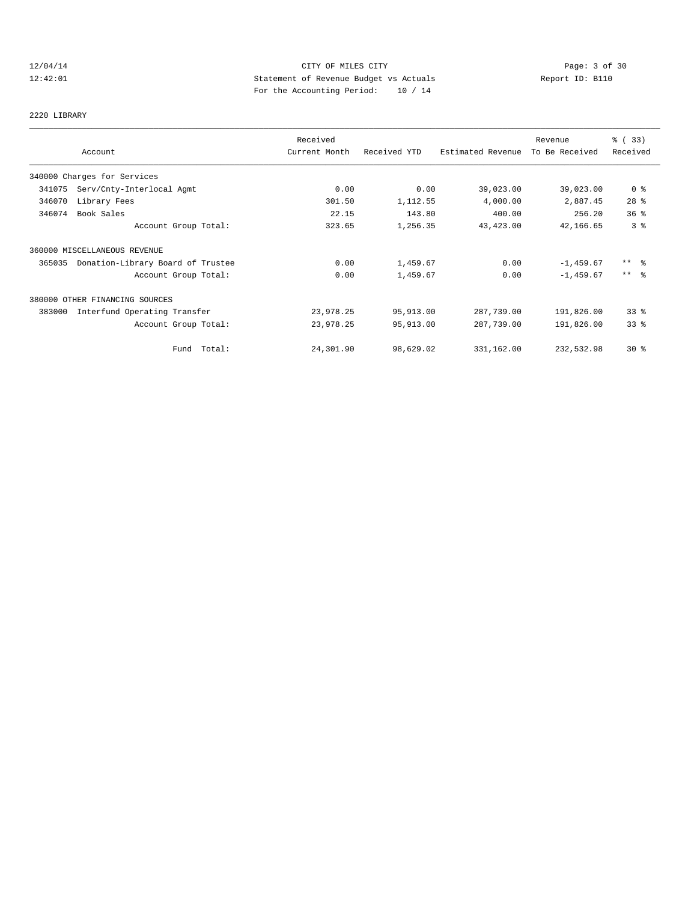# 12/04/14 CITY OF MILES CITY Page: 3 of 30 12:42:01 Statement of Revenue Budget vs Actuals Report ID: B110 For the Accounting Period: 10 / 14

# 2220 LIBRARY

|        |                                   | Received      |              |                   | Revenue        | % (33)              |
|--------|-----------------------------------|---------------|--------------|-------------------|----------------|---------------------|
|        | Account                           | Current Month | Received YTD | Estimated Revenue | To Be Received | Received            |
|        | 340000 Charges for Services       |               |              |                   |                |                     |
| 341075 | Serv/Cnty-Interlocal Agmt         | 0.00          | 0.00         | 39,023.00         | 39,023.00      | 0 <sup>8</sup>      |
| 346070 | Library Fees                      | 301.50        | 1,112.55     | 4,000.00          | 2,887.45       | $28$ %              |
| 346074 | Book Sales                        | 22.15         | 143.80       | 400.00            | 256.20         | 36 <sup>8</sup>     |
|        | Account Group Total:              | 323.65        | 1,256.35     | 43,423.00         | 42,166.65      | 3 <sup>°</sup>      |
|        | 360000 MISCELLANEOUS REVENUE      |               |              |                   |                |                     |
| 365035 | Donation-Library Board of Trustee | 0.00          | 1,459.67     | 0.00              | $-1,459.67$    | $***$ $\frac{6}{6}$ |
|        | Account Group Total:              | 0.00          | 1,459.67     | 0.00              | $-1,459.67$    | $***$ $ -$          |
|        | 380000 OTHER FINANCING SOURCES    |               |              |                   |                |                     |
| 383000 | Interfund Operating Transfer      | 23,978.25     | 95,913.00    | 287,739.00        | 191,826.00     | $33*$               |
|        | Account Group Total:              | 23,978.25     | 95,913.00    | 287,739.00        | 191,826.00     | 33 <sup>8</sup>     |
|        | Fund Total:                       | 24,301.90     | 98,629.02    | 331,162.00        | 232,532.98     | $30*$               |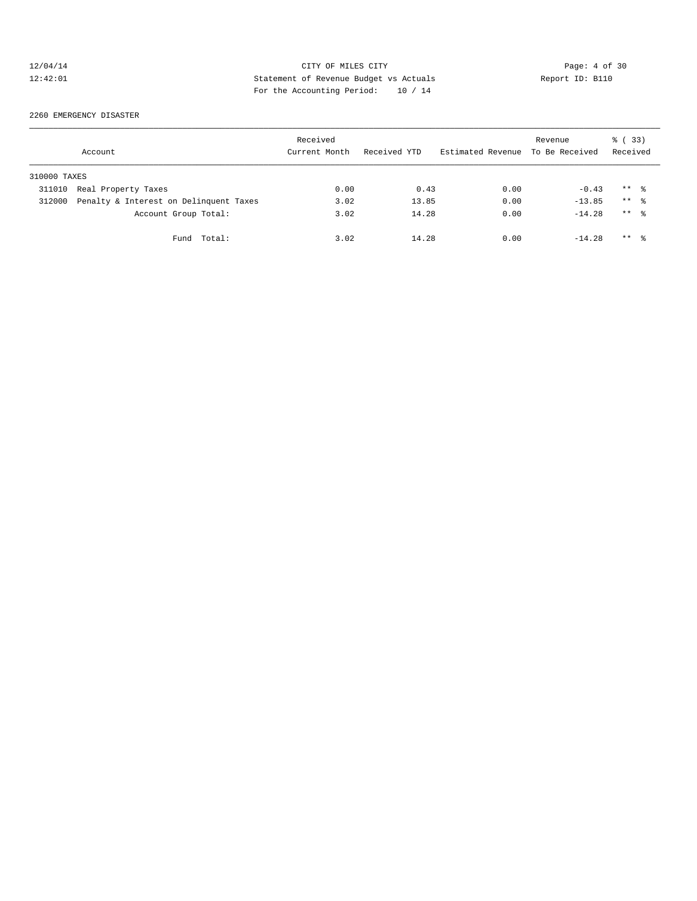# 12/04/14 CITY OF MILES CITY Page: 4 of 30<br>12:42:01 Statement of Revenue Budget vs Actuals Report ID: B110<br>12:42:01 Pay the Accumulate Deviced: 2011 12:42:01 Statement of Revenue Budget vs Actuals Report ID: B110 For the Accounting Period: 10 / 14

#### 2260 EMERGENCY DISASTER

|              | Account                                | Received<br>Current Month | Received YTD | Estimated Revenue | Revenue<br>To Be Received | 8 (33)<br>Received |  |
|--------------|----------------------------------------|---------------------------|--------------|-------------------|---------------------------|--------------------|--|
| 310000 TAXES |                                        |                           |              |                   |                           |                    |  |
| 311010       | Real Property Taxes                    | 0.00                      | 0.43         | 0.00              | $-0.43$                   | $***$ %            |  |
| 312000       | Penalty & Interest on Delinquent Taxes | 3.02                      | 13.85        | 0.00              | $-13.85$                  | $***$ %            |  |
|              | Account Group Total:                   | 3.02                      | 14.28        | 0.00              | $-14.28$                  | $***$ 8            |  |
|              | Fund Total:                            | 3.02                      | 14.28        | 0.00              | $-14.28$                  | $***$ 8            |  |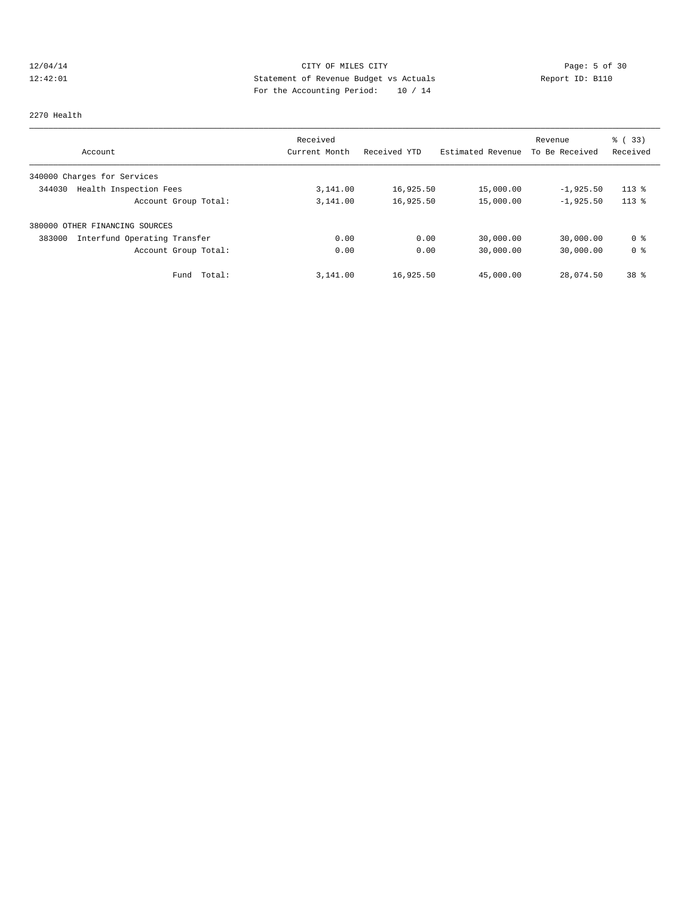# 12/04/14 CITY OF MILES CITY CITY Page: 5 of 30<br>12:42:01 Statement of Revenue Budget vs Actuals Report ID: B110<br>12:42:01 Pay the Assembly Design and 10 (14 12:42:01 Statement of Revenue Budget vs Actuals Report ID: B110 For the Accounting Period: 10 / 14

#### 2270 Health

| Account                                | Received<br>Current Month | Received YTD | Estimated Revenue | Revenue<br>To Be Received | % (33)<br>Received |
|----------------------------------------|---------------------------|--------------|-------------------|---------------------------|--------------------|
| 340000 Charges for Services            |                           |              |                   |                           |                    |
| Health Inspection Fees<br>344030       | 3,141.00                  | 16,925.50    | 15,000.00         | $-1,925.50$               | $113*$             |
| Account Group Total:                   | 3,141.00                  | 16,925.50    | 15,000.00         | $-1,925.50$               | $113*$             |
| 380000<br>OTHER FINANCING SOURCES      |                           |              |                   |                           |                    |
| Interfund Operating Transfer<br>383000 | 0.00                      | 0.00         | 30,000.00         | 30,000.00                 | 0 <sup>8</sup>     |
| Account Group Total:                   | 0.00                      | 0.00         | 30,000.00         | 30,000.00                 | 0 <sup>8</sup>     |
| Total:<br>Fund                         | 3,141.00                  | 16,925.50    | 45,000.00         | 28,074.50                 | 38 %               |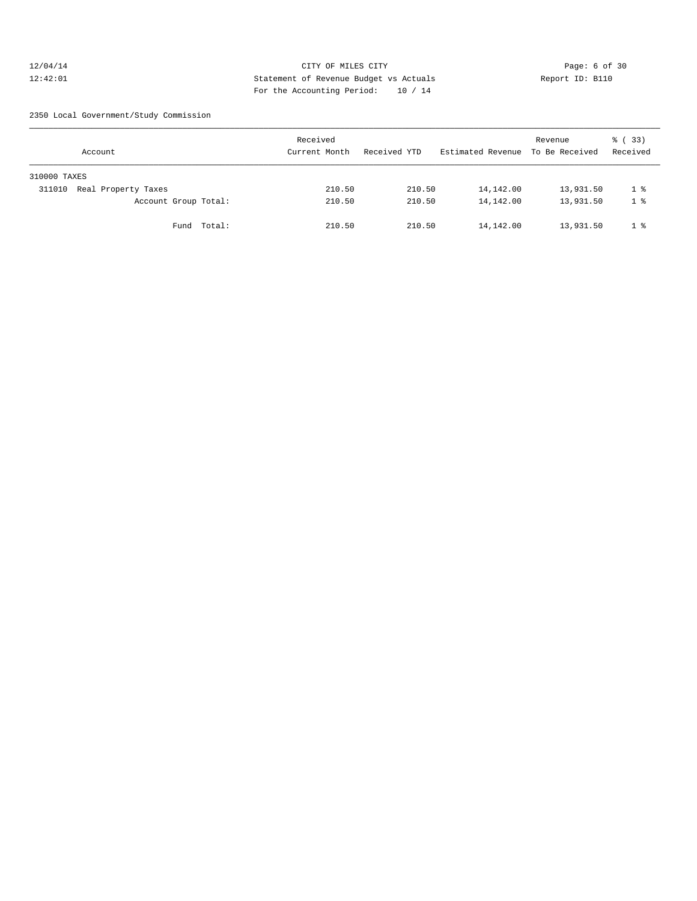# 12/04/14 CITY OF MILES CITY Page: 6 of 30 12:42:01 Statement of Revenue Budget vs Actuals Report ID: B110 For the Accounting Period: 10 / 14

2350 Local Government/Study Commission

| Account                       |             | Received<br>Current Month | Received YTD |        | Estimated Revenue To Be Received | Revenue   | 8 (33)<br>Received |
|-------------------------------|-------------|---------------------------|--------------|--------|----------------------------------|-----------|--------------------|
| 310000 TAXES                  |             |                           |              |        |                                  |           |                    |
| Real Property Taxes<br>311010 |             | 210.50                    |              | 210.50 | 14,142.00                        | 13,931.50 | 1 %                |
| Account Group Total:          |             | 210.50                    |              | 210.50 | 14,142.00                        | 13,931.50 | 1 %                |
|                               | Fund Total: | 210.50                    |              | 210.50 | 14,142.00                        | 13,931.50 | 1 %                |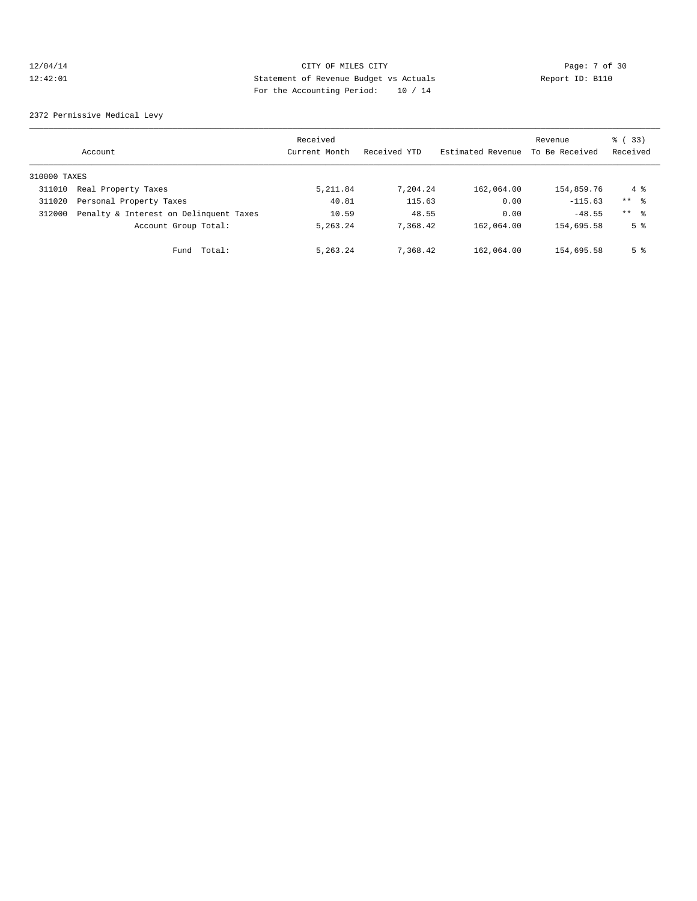# 12/04/14 CITY OF MILES CITY Page: 7 of 30 12:42:01 Statement of Revenue Budget vs Actuals Report ID: B110 For the Accounting Period: 10 / 14

2372 Permissive Medical Levy

|              | Account                                | Received<br>Current Month | Received YTD | Estimated Revenue | Revenue<br>To Be Received | 8 (33)<br>Received |
|--------------|----------------------------------------|---------------------------|--------------|-------------------|---------------------------|--------------------|
| 310000 TAXES |                                        |                           |              |                   |                           |                    |
| 311010       | Real Property Taxes                    | 5, 211.84                 | 7,204.24     | 162,064.00        | 154,859.76                | 4 %                |
| 311020       | Personal Property Taxes                | 40.81                     | 115.63       | 0.00              | $-115.63$                 | $***$ $\approx$    |
| 312000       | Penalty & Interest on Delinquent Taxes | 10.59                     | 48.55        | 0.00              | $-48.55$                  | $***$ 8            |
|              | Account Group Total:                   | 5,263.24                  | 7.368.42     | 162,064.00        | 154,695.58                | 5 <sup>8</sup>     |
|              | Total:<br>Fund                         | 5,263.24                  | 7,368.42     | 162,064.00        | 154,695.58                | 5 <sup>°</sup>     |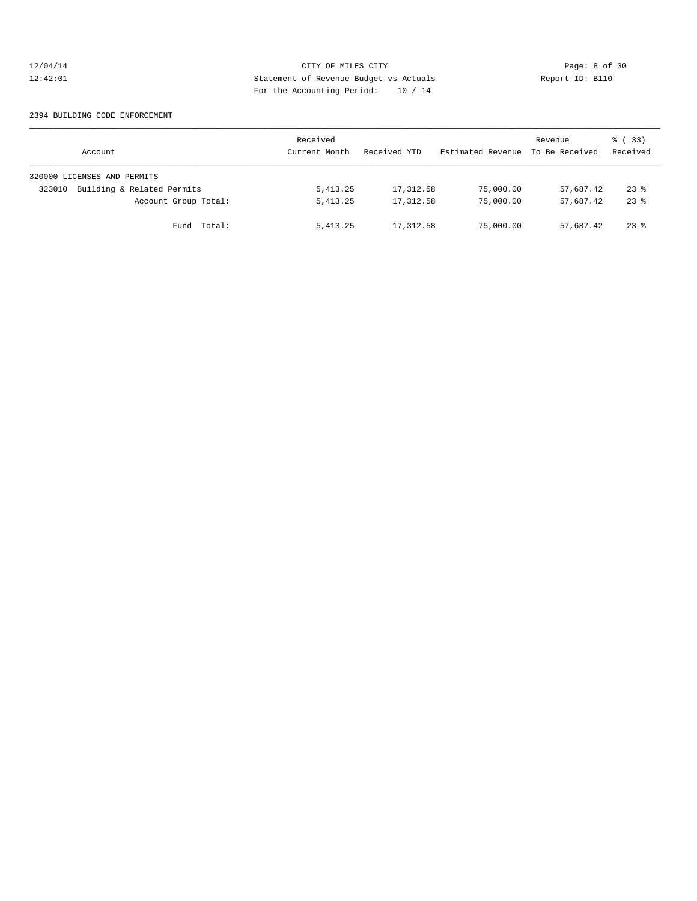# 12/04/14 CITY OF MILES CITY CITY Page: 8 of 30<br>12:42:01 Statement of Revenue Budget vs Actuals Report ID: B110 12:42:01 Statement of Revenue Budget vs Actuals Report ID: B110 For the Accounting Period: 10 / 14

#### 2394 BUILDING CODE ENFORCEMENT

| Account                              | Received<br>Current Month | Received YTD | Estimated Revenue | Revenue<br>To Be Received | 8 (33)<br>Received |
|--------------------------------------|---------------------------|--------------|-------------------|---------------------------|--------------------|
| 320000 LICENSES AND PERMITS          |                           |              |                   |                           |                    |
| Building & Related Permits<br>323010 | 5, 413.25                 | 17,312.58    | 75,000.00         | 57,687.42                 | $23$ $%$           |
| Account Group Total:                 | 5, 413.25                 | 17,312.58    | 75,000.00         | 57,687.42                 | $23$ $%$           |
| Fund Total:                          | 5, 413.25                 | 17,312.58    | 75,000.00         | 57,687.42                 | $23$ $%$           |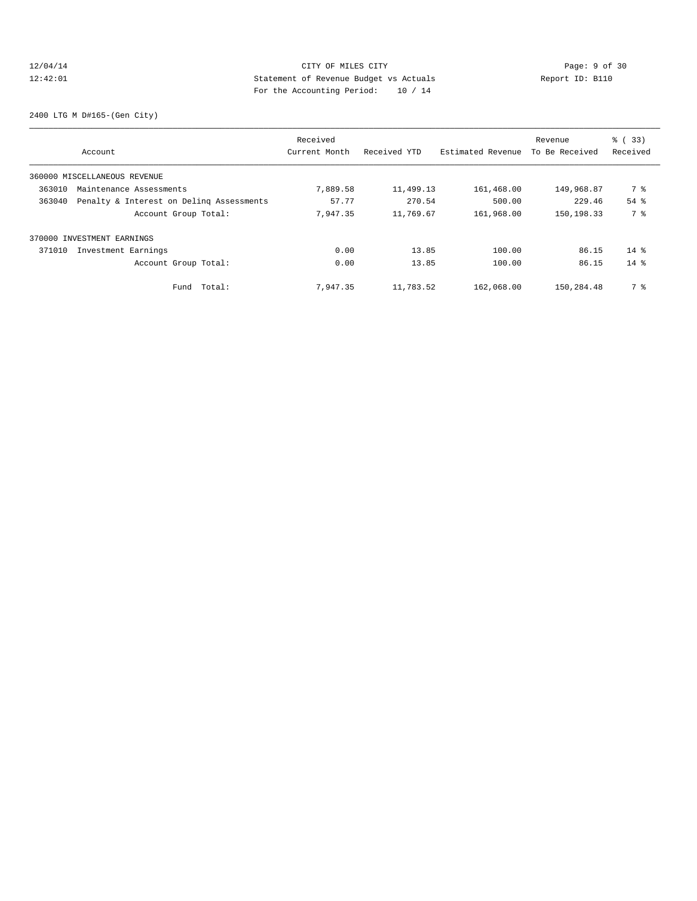# 12/04/14 CITY OF MILES CITY Page: 9 of 30<br>12:42:01 Statement of Revenue Budget vs Actuals Report ID: B110<br>12:42:01 Pay the Assembly Design and 10 (14 12:42:01 Statement of Revenue Budget vs Actuals Report ID: B110 For the Accounting Period: 10 / 14

2400 LTG M D#165-(Gen City)

|        |                                          | Received      |              |                   | Revenue        | % (33)   |
|--------|------------------------------------------|---------------|--------------|-------------------|----------------|----------|
|        | Account                                  | Current Month | Received YTD | Estimated Revenue | To Be Received | Received |
|        | 360000 MISCELLANEOUS REVENUE             |               |              |                   |                |          |
| 363010 | Maintenance Assessments                  | 7,889.58      | 11,499.13    | 161,468.00        | 149,968.87     | 7 %      |
| 363040 | Penalty & Interest on Deling Assessments | 57.77         | 270.54       | 500.00            | 229.46         | $54$ $%$ |
|        | Account Group Total:                     | 7,947.35      | 11,769.67    | 161,968.00        | 150,198.33     | 7 %      |
|        | 370000 INVESTMENT EARNINGS               |               |              |                   |                |          |
| 371010 | Investment Earnings                      | 0.00          | 13.85        | 100.00            | 86.15          | $14*$    |
|        | Account Group Total:                     | 0.00          | 13.85        | 100.00            | 86.15          | $14*$    |
|        | Total:<br>Fund                           | 7.947.35      | 11,783.52    | 162,068.00        | 150,284.48     | 7 %      |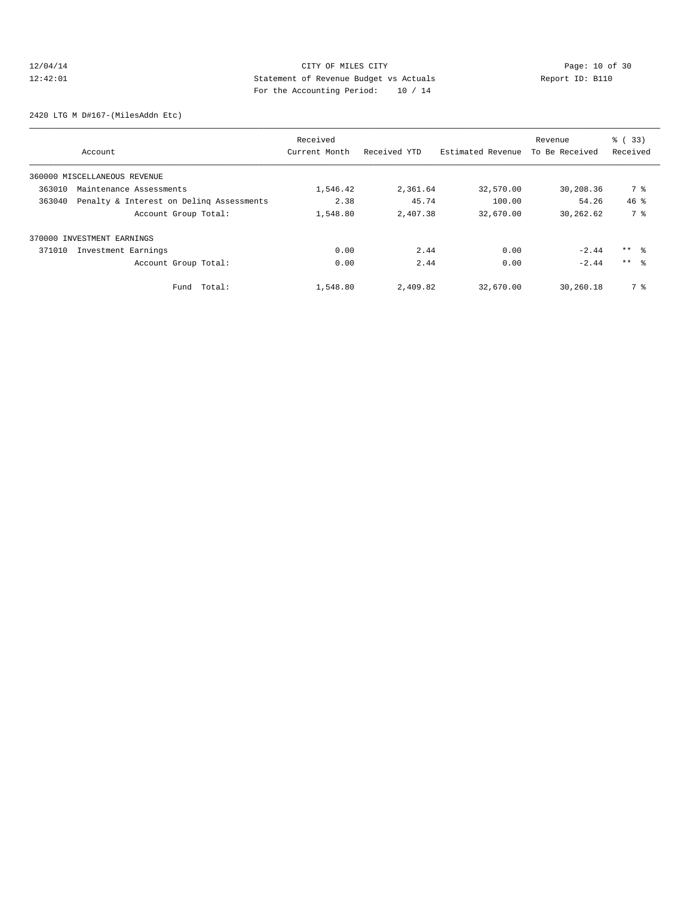# 12/04/14 Page: 10 of 30 12:42:01 Statement of Revenue Budget vs Actuals Report ID: B110 For the Accounting Period: 10 / 14

2420 LTG M D#167-(MilesAddn Etc)

|        |                                          | Received      |              |                   | Revenue        | % (33)          |
|--------|------------------------------------------|---------------|--------------|-------------------|----------------|-----------------|
|        | Account                                  | Current Month | Received YTD | Estimated Revenue | To Be Received | Received        |
|        | 360000 MISCELLANEOUS REVENUE             |               |              |                   |                |                 |
| 363010 | Maintenance Assessments                  | 1,546.42      | 2,361.64     | 32,570.00         | 30,208.36      | 7 %             |
| 363040 | Penalty & Interest on Deling Assessments | 2.38          | 45.74        | 100.00            | 54.26          | $46*$           |
|        | Account Group Total:                     | 1,548.80      | 2,407.38     | 32,670.00         | 30,262.62      | 7 %             |
|        | 370000 INVESTMENT EARNINGS               |               |              |                   |                |                 |
| 371010 | Investment Earnings                      | 0.00          | 2.44         | 0.00              | $-2.44$        | $***$ %         |
|        | Account Group Total:                     | 0.00          | 2.44         | 0.00              | $-2.44$        | $***$ $\approx$ |
|        | Total:<br>Fund                           | 1,548.80      | 2,409.82     | 32,670.00         | 30,260.18      | 7 %             |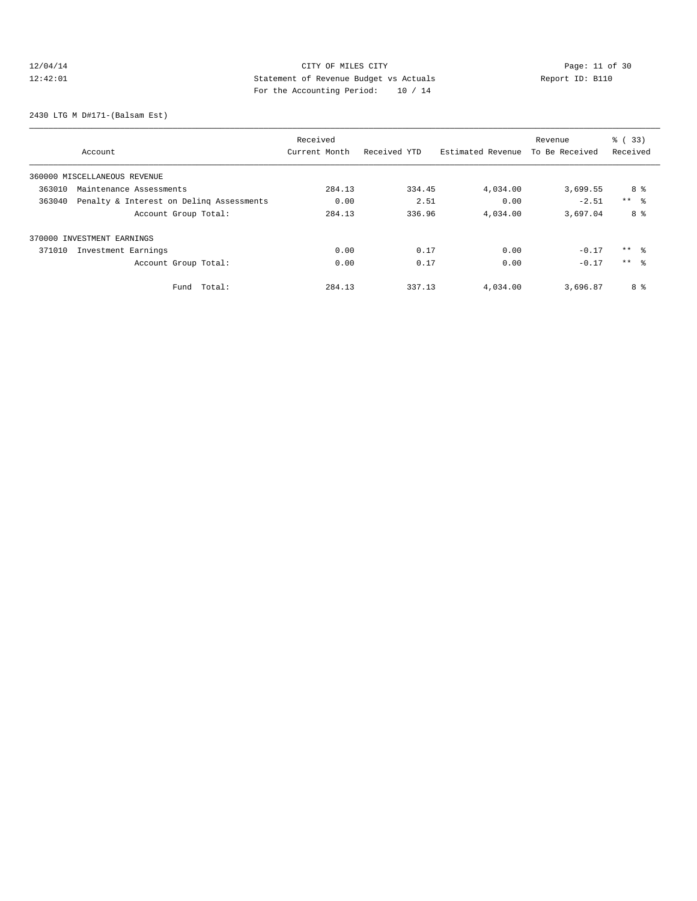# 12/04/14 Page: 11 of 30 12:42:01 Statement of Revenue Budget vs Actuals Report ID: B110 For the Accounting Period: 10 / 14

2430 LTG M D#171-(Balsam Est)

|        |                                          | Received      |              |                   | Revenue        | % (33)          |
|--------|------------------------------------------|---------------|--------------|-------------------|----------------|-----------------|
|        | Account                                  | Current Month | Received YTD | Estimated Revenue | To Be Received | Received        |
|        | 360000 MISCELLANEOUS REVENUE             |               |              |                   |                |                 |
| 363010 | Maintenance Assessments                  | 284.13        | 334.45       | 4,034.00          | 3,699.55       | 8 %             |
| 363040 | Penalty & Interest on Deling Assessments | 0.00          | 2.51         | 0.00              | $-2.51$        | $***$ $ -$      |
|        | Account Group Total:                     | 284.13        | 336.96       | 4,034.00          | 3,697.04       | 8 %             |
|        | 370000 INVESTMENT EARNINGS               |               |              |                   |                |                 |
| 371010 | Investment Earnings                      | 0.00          | 0.17         | 0.00              | $-0.17$        | $***$ $\approx$ |
|        | Account Group Total:                     | 0.00          | 0.17         | 0.00              | $-0.17$        | $***$ $\approx$ |
|        | Total:<br>Fund                           | 284.13        | 337.13       | 4,034.00          | 3,696.87       | 8 %             |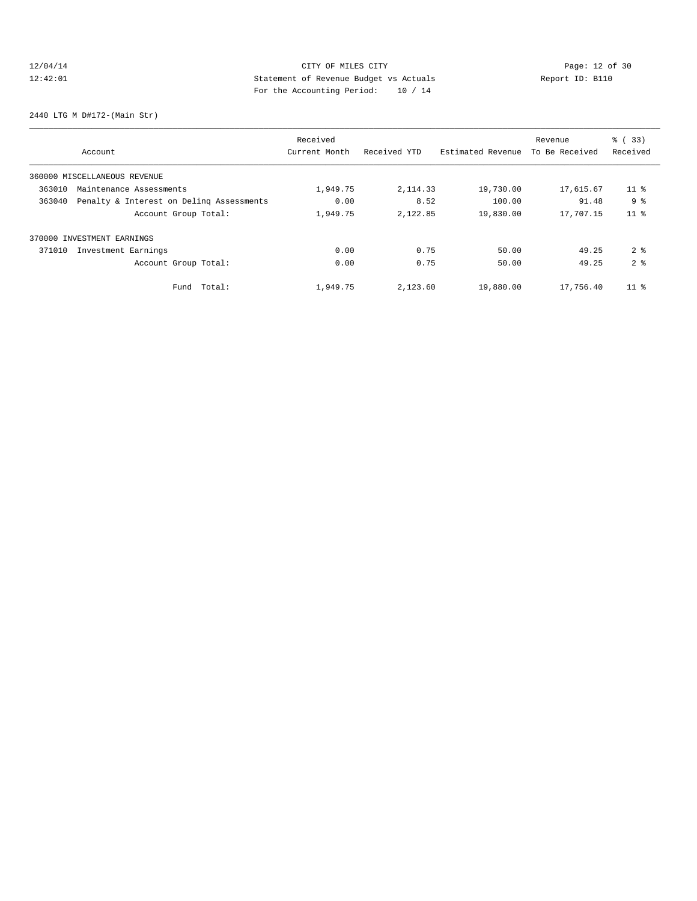# 12/04/14 Page: 12 of 30 12:42:01 Statement of Revenue Budget vs Actuals Report ID: B110 For the Accounting Period: 10 / 14

2440 LTG M D#172-(Main Str)

|        |                                          | Received      |              |                   | Revenue        | % (33)          |
|--------|------------------------------------------|---------------|--------------|-------------------|----------------|-----------------|
|        | Account                                  | Current Month | Received YTD | Estimated Revenue | To Be Received | Received        |
|        | 360000 MISCELLANEOUS REVENUE             |               |              |                   |                |                 |
| 363010 | Maintenance Assessments                  | 1,949.75      | 2, 114.33    | 19,730.00         | 17,615.67      | $11$ %          |
| 363040 | Penalty & Interest on Deling Assessments | 0.00          | 8.52         | 100.00            | 91.48          | 9 <sup>°</sup>  |
|        | Account Group Total:                     | 1,949.75      | 2,122.85     | 19,830.00         | 17,707.15      | 11 <sup>8</sup> |
|        | 370000 INVESTMENT EARNINGS               |               |              |                   |                |                 |
| 371010 | Investment Earnings                      | 0.00          | 0.75         | 50.00             | 49.25          | 2 <sup>8</sup>  |
|        | Account Group Total:                     | 0.00          | 0.75         | 50.00             | 49.25          | 2 <sup>8</sup>  |
|        | Total:<br>Fund                           | 1,949.75      | 2,123.60     | 19,880.00         | 17,756.40      | $11$ %          |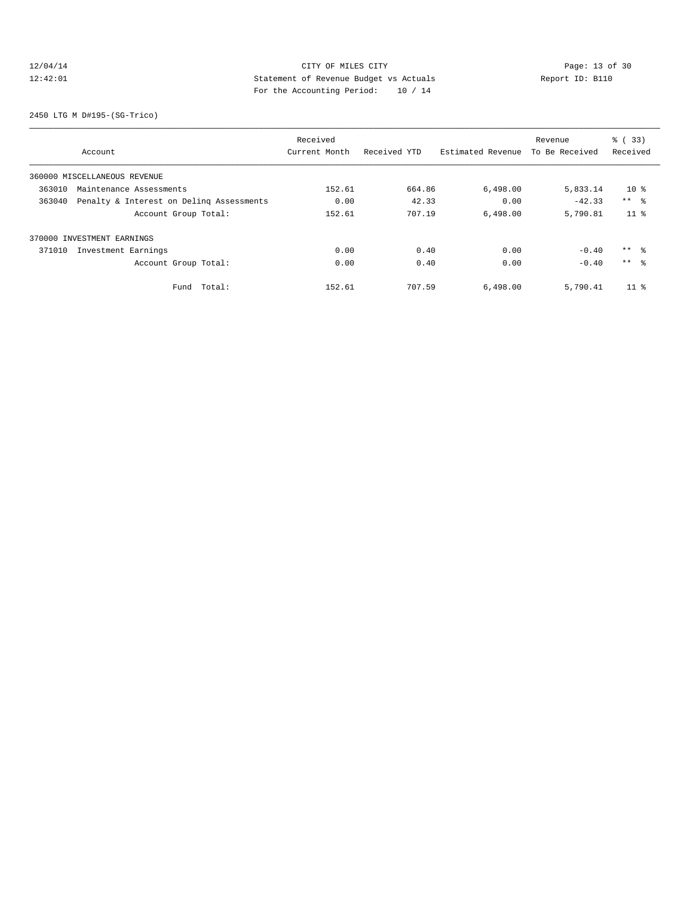# 12/04/14 CITY OF MILES CITY<br>12:42:01 CITY OF MILES CITY<br>12:42:01 Statement of Revenue Budget vs Actuals<br>For the Accounting Dominal: 10 (14 12:42:01 Statement of Revenue Budget vs Actuals Report ID: B110 For the Accounting Period: 10 / 14

2450 LTG M D#195-(SG-Trico)

|        |                                          | Received      |              |                   | Revenue        | % (33)          |
|--------|------------------------------------------|---------------|--------------|-------------------|----------------|-----------------|
|        | Account                                  | Current Month | Received YTD | Estimated Revenue | To Be Received | Received        |
|        | 360000 MISCELLANEOUS REVENUE             |               |              |                   |                |                 |
| 363010 | Maintenance Assessments                  | 152.61        | 664.86       | 6,498.00          | 5,833.14       | 10 <sup>8</sup> |
| 363040 | Penalty & Interest on Deling Assessments | 0.00          | 42.33        | 0.00              | $-42.33$       | $***$ $\approx$ |
|        | Account Group Total:                     | 152.61        | 707.19       | 6,498.00          | 5,790.81       | 11 <sup>8</sup> |
|        | 370000 INVESTMENT EARNINGS               |               |              |                   |                |                 |
| 371010 | Investment Earnings                      | 0.00          | 0.40         | 0.00              | $-0.40$        | $***$ $\approx$ |
|        | Account Group Total:                     | 0.00          | 0.40         | 0.00              | $-0.40$        | $***$ $\approx$ |
|        | Total:<br>Fund                           | 152.61        | 707.59       | 6,498.00          | 5,790.41       | $11$ %          |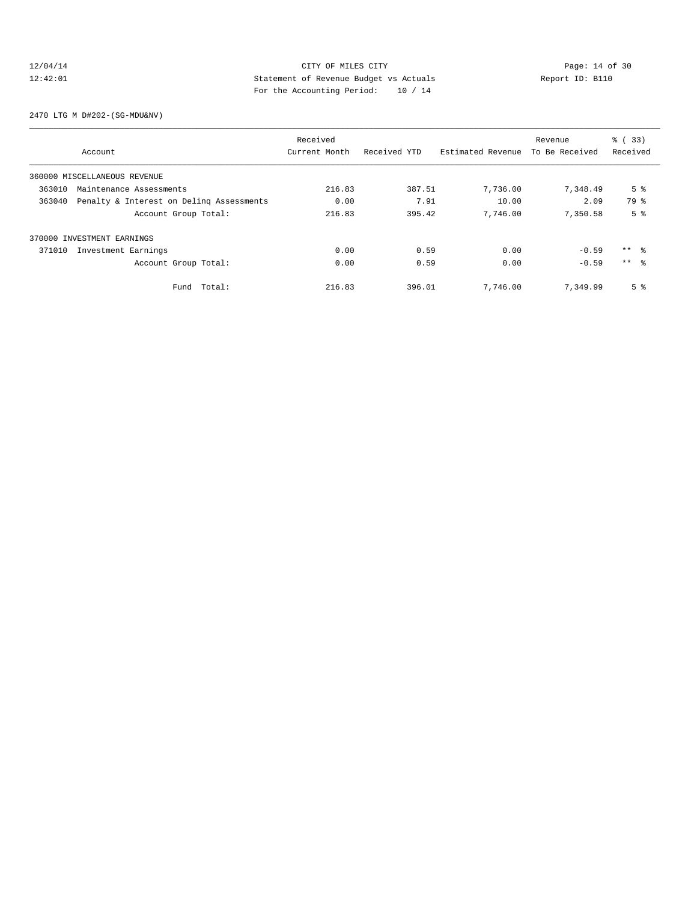# 12/04/14 CITY OF MILES CITY<br>12:42:01 CITY OF MILES CITY<br>12:42:01 CITY OF MILES CITY<br>12:42:01 CITY OF MILES CITY 12:42:01 Statement of Revenue Budget vs Actuals Report ID: B110 For the Accounting Period: 10 / 14

2470 LTG M D#202-(SG-MDU&NV)

|        |                                          | Received      |              |                   | Revenue        | % (33)          |
|--------|------------------------------------------|---------------|--------------|-------------------|----------------|-----------------|
|        | Account                                  | Current Month | Received YTD | Estimated Revenue | To Be Received | Received        |
|        | 360000 MISCELLANEOUS REVENUE             |               |              |                   |                |                 |
| 363010 | Maintenance Assessments                  | 216.83        | 387.51       | 7,736.00          | 7,348.49       | 5 <sup>°</sup>  |
| 363040 | Penalty & Interest on Deling Assessments | 0.00          | 7.91         | 10.00             | 2.09           | 79 %            |
|        | Account Group Total:                     | 216.83        | 395.42       | 7,746.00          | 7,350.58       | 5 <sup>°</sup>  |
|        | 370000 INVESTMENT EARNINGS               |               |              |                   |                |                 |
| 371010 | Investment Earnings                      | 0.00          | 0.59         | 0.00              | $-0.59$        | $***$ $\approx$ |
|        | Account Group Total:                     | 0.00          | 0.59         | 0.00              | $-0.59$        | $***$ $\approx$ |
|        | Total:<br>Fund                           | 216.83        | 396.01       | 7,746.00          | 7.349.99       | 5 <sup>°</sup>  |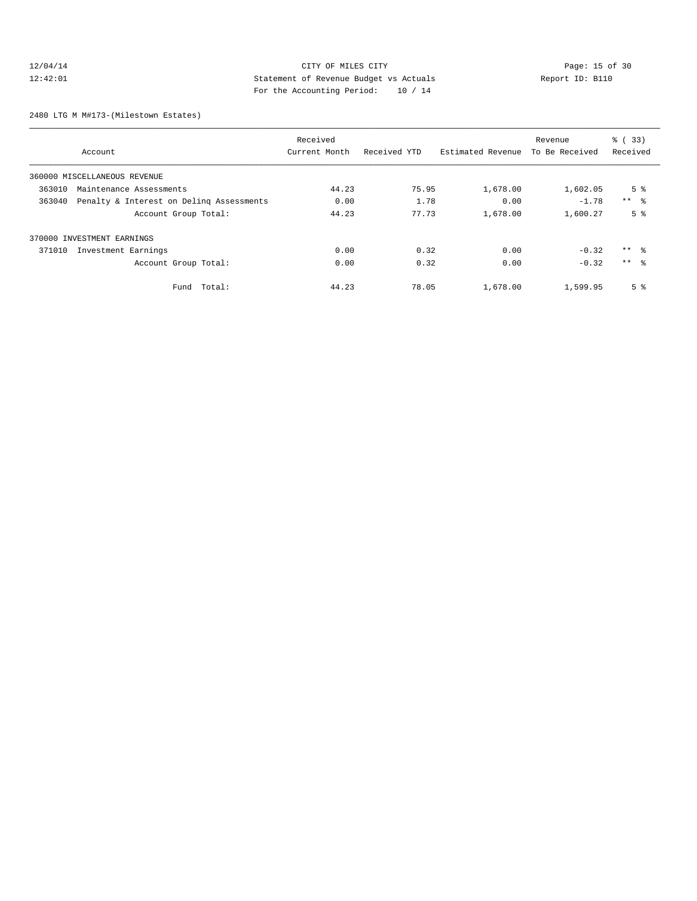# 12/04/14 Page: 15 of 30 12:42:01 Statement of Revenue Budget vs Actuals Report ID: B110 For the Accounting Period: 10 / 14

2480 LTG M M#173-(Milestown Estates)

|                                                    | Received      |              |                   | Revenue        | % (33)          |
|----------------------------------------------------|---------------|--------------|-------------------|----------------|-----------------|
| Account                                            | Current Month | Received YTD | Estimated Revenue | To Be Received | Received        |
| 360000 MISCELLANEOUS REVENUE                       |               |              |                   |                |                 |
| 363010<br>Maintenance Assessments                  | 44.23         | 75.95        | 1,678.00          | 1,602.05       | 5 <sup>8</sup>  |
| Penalty & Interest on Deling Assessments<br>363040 | 0.00          | 1.78         | 0.00              | $-1.78$        | $***$ $ -$      |
| Account Group Total:                               | 44.23         | 77.73        | 1,678.00          | 1,600.27       | 5 <sup>8</sup>  |
| 370000 INVESTMENT EARNINGS                         |               |              |                   |                |                 |
| 371010<br>Investment Earnings                      | 0.00          | 0.32         | 0.00              | $-0.32$        | $***$ %         |
| Account Group Total:                               | 0.00          | 0.32         | 0.00              | $-0.32$        | $***$ $\approx$ |
| Total:<br>Fund                                     | 44.23         | 78.05        | 1,678.00          | 1,599.95       | 5 <sup>8</sup>  |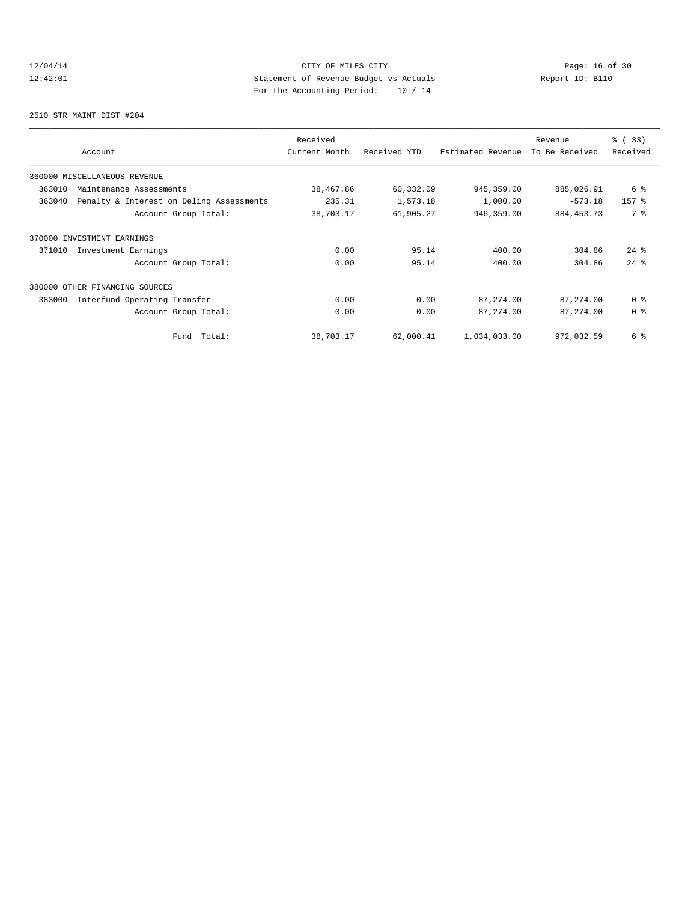# 12/04/14 Page: 16 of 30 12:42:01 Statement of Revenue Budget vs Actuals Report ID: B110 For the Accounting Period: 10 / 14

2510 STR MAINT DIST #204

| Account                                            | Received<br>Current Month | Received YTD | Estimated Revenue | Revenue<br>To Be Received | % (33)<br>Received |
|----------------------------------------------------|---------------------------|--------------|-------------------|---------------------------|--------------------|
| 360000 MISCELLANEOUS REVENUE                       |                           |              |                   |                           |                    |
| 363010<br>Maintenance Assessments                  | 38,467.86                 | 60,332.09    | 945, 359.00       | 885,026.91                | 6 %                |
| 363040<br>Penalty & Interest on Deling Assessments | 235.31                    | 1,573.18     | 1,000.00          | $-573.18$                 | 157 <sub>8</sub>   |
| Account Group Total:                               | 38,703.17                 | 61,905.27    | 946,359.00        | 884, 453. 73              | 7 %                |
| 370000 INVESTMENT EARNINGS                         |                           |              |                   |                           |                    |
| Investment Earnings<br>371010                      | 0.00                      | 95.14        | 400.00            | 304.86                    | $24$ $%$           |
| Account Group Total:                               | 0.00                      | 95.14        | 400.00            | 304.86                    | $24$ $%$           |
| 380000 OTHER FINANCING SOURCES                     |                           |              |                   |                           |                    |
| 383000<br>Interfund Operating Transfer             | 0.00                      | 0.00         | 87,274.00         | 87, 274.00                | 0 <sup>8</sup>     |
| Account Group Total:                               | 0.00                      | 0.00         | 87, 274.00        | 87, 274.00                | 0 <sup>8</sup>     |
| Total:<br>Fund                                     | 38,703.17                 | 62,000.41    | 1,034,033.00      | 972,032.59                | 6 %                |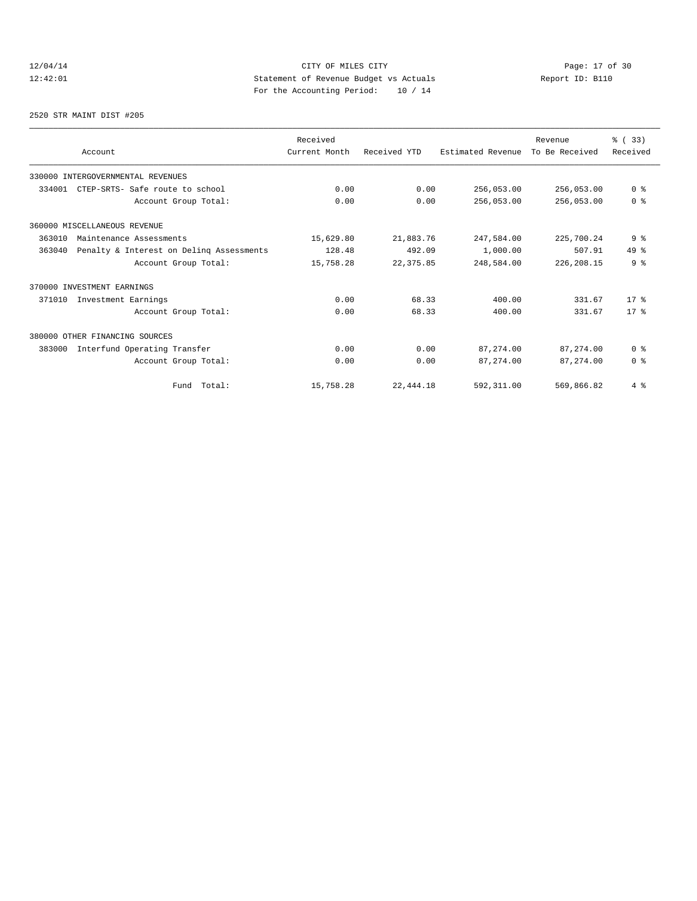# 12/04/14 Page: 17 of 30 12:42:01 Statement of Revenue Budget vs Actuals Report ID: B110 For the Accounting Period: 10 / 14

2520 STR MAINT DIST #205

|        | Account                                  | Received<br>Current Month | Received YTD | Estimated Revenue | Revenue<br>To Be Received | % (33)<br>Received |
|--------|------------------------------------------|---------------------------|--------------|-------------------|---------------------------|--------------------|
|        | 330000 INTERGOVERNMENTAL REVENUES        |                           |              |                   |                           |                    |
| 334001 | CTEP-SRTS- Safe route to school          | 0.00                      | 0.00         | 256,053.00        | 256,053.00                | 0 <sup>8</sup>     |
|        | Account Group Total:                     | 0.00                      | 0.00         | 256,053.00        | 256,053.00                | 0 <sup>8</sup>     |
|        | 360000 MISCELLANEOUS REVENUE             |                           |              |                   |                           |                    |
| 363010 | Maintenance Assessments                  | 15,629.80                 | 21,883.76    | 247,584.00        | 225,700.24                | 9 <sub>8</sub>     |
| 363040 | Penalty & Interest on Deling Assessments | 128.48                    | 492.09       | 1,000.00          | 507.91                    | $49*$              |
|        | Account Group Total:                     | 15,758.28                 | 22,375.85    | 248,584.00        | 226, 208.15               | 9 <sup>8</sup>     |
|        | 370000 INVESTMENT EARNINGS               |                           |              |                   |                           |                    |
| 371010 | Investment Earnings                      | 0.00                      | 68.33        | 400.00            | 331.67                    | $17*$              |
|        | Account Group Total:                     | 0.00                      | 68.33        | 400.00            | 331.67                    | $17*$              |
|        | 380000 OTHER FINANCING SOURCES           |                           |              |                   |                           |                    |
| 383000 | Interfund Operating Transfer             | 0.00                      | 0.00         | 87, 274, 00       | 87, 274, 00               | 0 <sup>8</sup>     |
|        | Account Group Total:                     | 0.00                      | 0.00         | 87,274.00         | 87, 274, 00               | 0 <sup>8</sup>     |
|        | Fund Total:                              | 15,758.28                 | 22, 444.18   | 592,311.00        | 569,866.82                | $4\degree$         |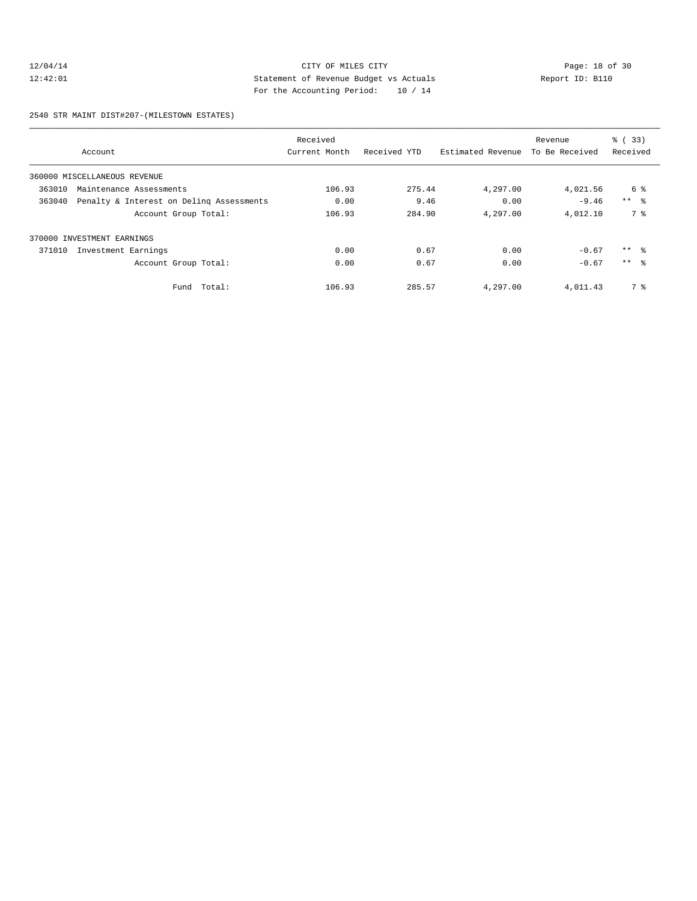# 12/04/14 CITY OF MILES CITY<br>12:42:01 CITY OF MILES CITY<br>12:42:01 Statement of Revenue Budget vs Actuals<br>For the Accounting Positel (10 / 14 12:42:01 Statement of Revenue Budget vs Actuals Report ID: B110 For the Accounting Period: 10 / 14

2540 STR MAINT DIST#207-(MILESTOWN ESTATES)

|        |                                          | Received      |              |                   | Revenue        | % (33)          |
|--------|------------------------------------------|---------------|--------------|-------------------|----------------|-----------------|
|        | Account                                  | Current Month | Received YTD | Estimated Revenue | To Be Received | Received        |
|        | 360000 MISCELLANEOUS REVENUE             |               |              |                   |                |                 |
| 363010 | Maintenance Assessments                  | 106.93        | 275.44       | 4,297.00          | 4,021.56       | 6 %             |
| 363040 | Penalty & Interest on Deling Assessments | 0.00          | 9.46         | 0.00              | $-9.46$        | $***$ $ -$      |
|        | Account Group Total:                     | 106.93        | 284.90       | 4,297.00          | 4,012.10       | 7 %             |
|        | 370000 INVESTMENT EARNINGS               |               |              |                   |                |                 |
| 371010 | Investment Earnings                      | 0.00          | 0.67         | 0.00              | $-0.67$        | $***$ 8         |
|        | Account Group Total:                     | 0.00          | 0.67         | 0.00              | $-0.67$        | $***$ $\approx$ |
|        | Fund Total:                              | 106.93        | 285.57       | 4,297.00          | 4,011.43       | 7 %             |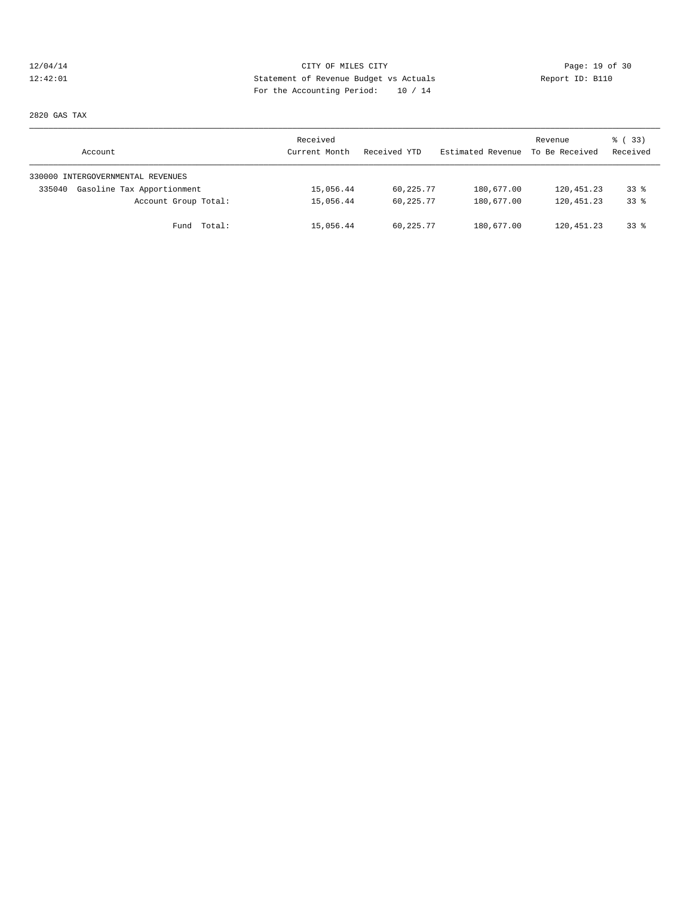# 12/04/14 Page: 19 of 30 12:42:01 Statement of Revenue Budget vs Actuals Report ID: B110 For the Accounting Period: 10 / 14

2820 GAS TAX

| Account                              | Received<br>Current Month | Received YTD | Estimated Revenue | Revenue<br>To Be Received | 8 (33)<br>Received |
|--------------------------------------|---------------------------|--------------|-------------------|---------------------------|--------------------|
| 330000 INTERGOVERNMENTAL REVENUES    |                           |              |                   |                           |                    |
| Gasoline Tax Apportionment<br>335040 | 15,056.44                 | 60,225.77    | 180,677.00        | 120,451.23                | 33 <sup>8</sup>    |
| Account Group Total:                 | 15,056.44                 | 60,225.77    | 180,677.00        | 120,451.23                | 338                |
| Fund Total:                          | 15,056.44                 | 60,225.77    | 180,677.00        | 120,451.23                | $33$ $%$           |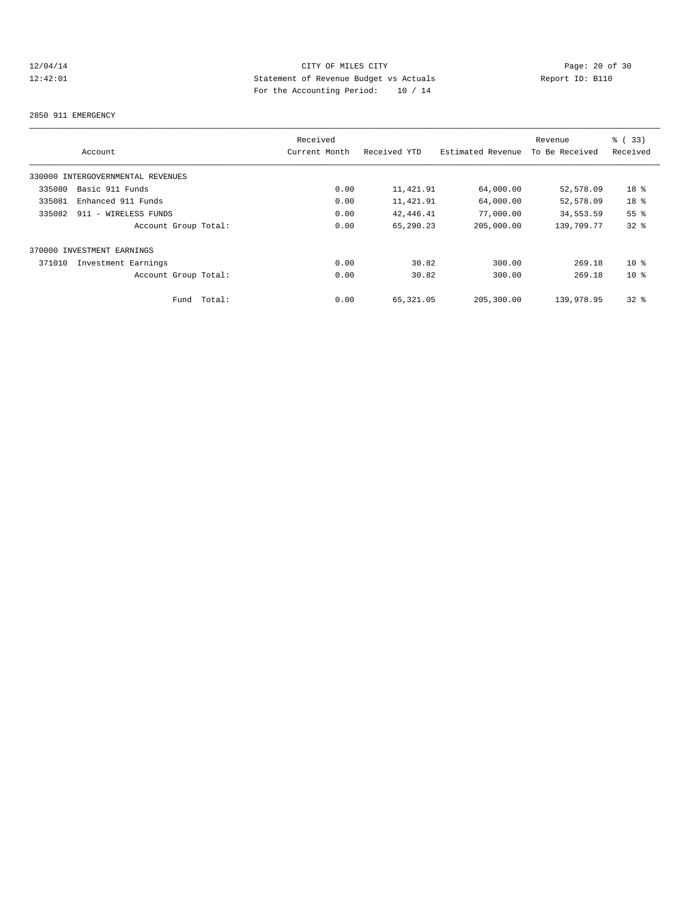# 12/04/14 Page: 20 of 30<br>12:42:01 CITY OF MILES CITY Page: 20 of 30<br>12:42:01 Statement of Revenue Budget vs Actuals<br>20 Of 20 Actual Page: 20 Of 30 12:42:01 Statement of Revenue Budget vs Actuals Report ID: B110 For the Accounting Period: 10 / 14

#### 2850 911 EMERGENCY

|        |                                   |        | Received      |              |                   | Revenue        | % (33)          |
|--------|-----------------------------------|--------|---------------|--------------|-------------------|----------------|-----------------|
|        | Account                           |        | Current Month | Received YTD | Estimated Revenue | To Be Received | Received        |
|        | 330000 INTERGOVERNMENTAL REVENUES |        |               |              |                   |                |                 |
| 335080 | Basic 911 Funds                   |        | 0.00          | 11,421.91    | 64,000.00         | 52,578.09      | 18 <sup>°</sup> |
| 335081 | Enhanced 911 Funds                |        | 0.00          | 11,421.91    | 64,000.00         | 52,578.09      | 18 %            |
| 335082 | 911 - WIRELESS FUNDS              |        | 0.00          | 42,446.41    | 77,000.00         | 34,553.59      | 55 <sup>8</sup> |
|        | Account Group Total:              |        | 0.00          | 65,290.23    | 205,000.00        | 139,709.77     | $32$ $%$        |
|        | 370000 INVESTMENT EARNINGS        |        |               |              |                   |                |                 |
| 371010 | Investment Earnings               |        | 0.00          | 30.82        | 300.00            | 269.18         | 10 <sup>8</sup> |
|        | Account Group Total:              |        | 0.00          | 30.82        | 300.00            | 269.18         | 10 <sup>8</sup> |
|        | Fund                              | Total: | 0.00          | 65,321.05    | 205,300.00        | 139,978.95     | 328             |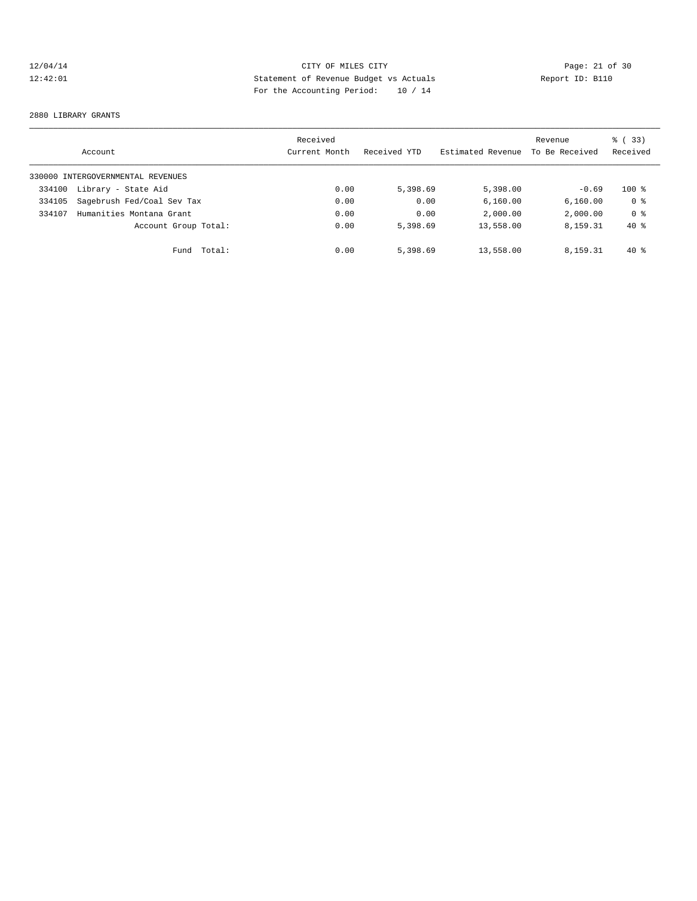# 12/04/14 Page: 21 of 30 12:42:01 Statement of Revenue Budget vs Actuals Report ID: B110 For the Accounting Period: 10 / 14

#### 2880 LIBRARY GRANTS

|        | Account                           |        | Received<br>Current Month | Received YTD | Estimated Revenue | Revenue<br>To Be Received | % (33)<br>Received |
|--------|-----------------------------------|--------|---------------------------|--------------|-------------------|---------------------------|--------------------|
|        | 330000 INTERGOVERNMENTAL REVENUES |        |                           |              |                   |                           |                    |
| 334100 | Library - State Aid               |        | 0.00                      | 5,398.69     | 5,398.00          | $-0.69$                   | $100*$             |
| 334105 | Sagebrush Fed/Coal Sev Tax        |        | 0.00                      | 0.00         | 6,160.00          | 6, 160.00                 | 0 <sup>8</sup>     |
| 334107 | Humanities Montana Grant          |        | 0.00                      | 0.00         | 2,000.00          | 2,000.00                  | 0 <sup>8</sup>     |
|        | Account Group Total:              |        | 0.00                      | 5,398.69     | 13,558.00         | 8,159.31                  | $40*$              |
|        | Fund                              | Total: | 0.00                      | 5,398.69     | 13,558.00         | 8,159.31                  | $40*$              |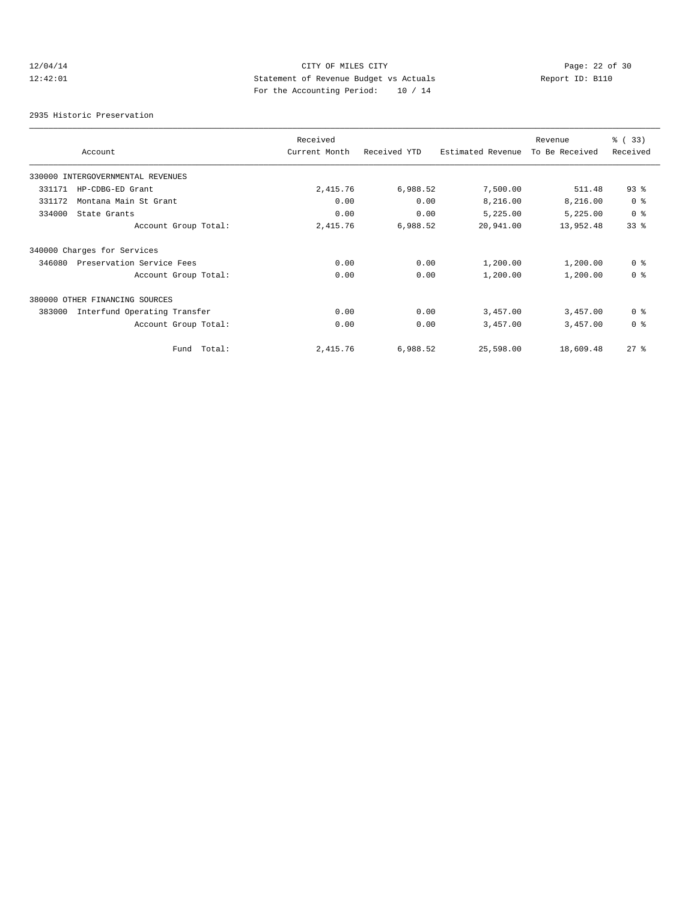# 12/04/14 CITY OF MILES CITY<br>12:42:01 CITY OF MILES CITY<br>12:42:01 Statement of Revenue Budget vs Actuals<br>For the Accounting Dominal: 10 (14 12:42:01 Statement of Revenue Budget vs Actuals Report ID: B110 For the Accounting Period: 10 / 14

2935 Historic Preservation

|                                        | Received      |              |                   | Revenue        | % (33)         |
|----------------------------------------|---------------|--------------|-------------------|----------------|----------------|
| Account                                | Current Month | Received YTD | Estimated Revenue | To Be Received | Received       |
| 330000 INTERGOVERNMENTAL REVENUES      |               |              |                   |                |                |
| 331171<br>HP-CDBG-ED Grant             | 2,415.76      | 6,988.52     | 7,500.00          | 511.48         | $93$ $%$       |
| 331172<br>Montana Main St Grant        | 0.00          | 0.00         | 8,216.00          | 8,216.00       | 0 <sup>8</sup> |
| 334000<br>State Grants                 | 0.00          | 0.00         | 5,225.00          | 5,225.00       | 0 <sup>8</sup> |
| Account Group Total:                   | 2,415.76      | 6,988.52     | 20,941.00         | 13,952.48      | 33%            |
| 340000 Charges for Services            |               |              |                   |                |                |
| Preservation Service Fees<br>346080    | 0.00          | 0.00         | 1,200.00          | 1,200.00       | 0 <sup>8</sup> |
| Account Group Total:                   | 0.00          | 0.00         | 1,200.00          | 1,200.00       | 0 <sup>8</sup> |
| 380000 OTHER FINANCING SOURCES         |               |              |                   |                |                |
| Interfund Operating Transfer<br>383000 | 0.00          | 0.00         | 3,457.00          | 3,457.00       | 0 <sup>8</sup> |
| Account Group Total:                   | 0.00          | 0.00         | 3,457.00          | 3,457.00       | 0 <sup>8</sup> |
| Fund Total:                            | 2,415.76      | 6,988.52     | 25,598.00         | 18,609.48      | $27$ $%$       |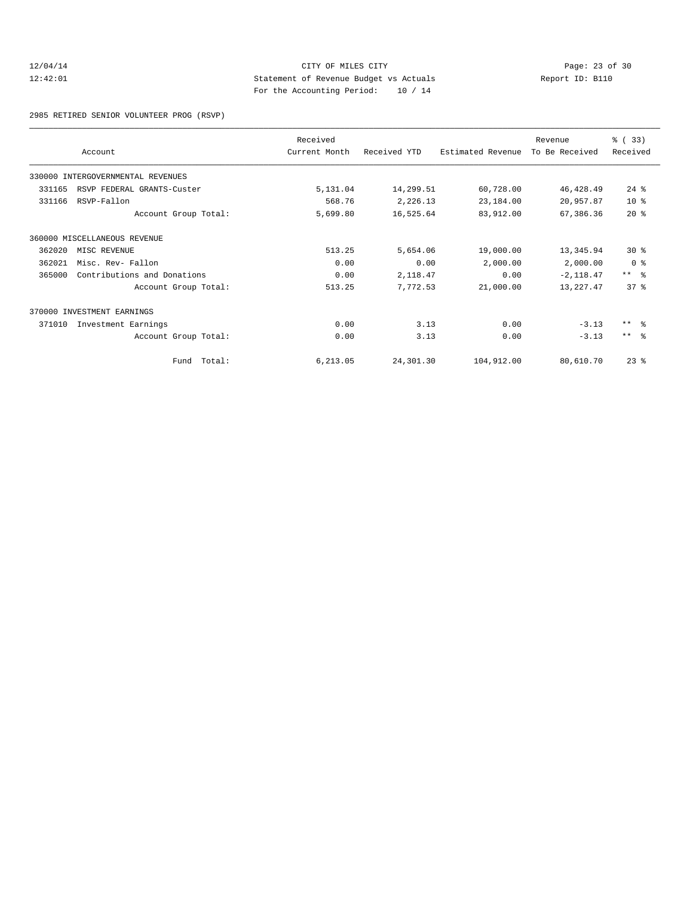# 12/04/14 Page: 23 of 30 12:42:01 Statement of Revenue Budget vs Actuals Report ID: B110 For the Accounting Period: 10 / 14

2985 RETIRED SENIOR VOLUNTEER PROG (RSVP)

|        |                                   | Received      |              |                   | Revenue        | % (33)             |
|--------|-----------------------------------|---------------|--------------|-------------------|----------------|--------------------|
|        | Account                           | Current Month | Received YTD | Estimated Revenue | To Be Received | Received           |
|        | 330000 INTERGOVERNMENTAL REVENUES |               |              |                   |                |                    |
| 331165 | RSVP FEDERAL GRANTS-Custer        | 5,131.04      | 14,299.51    | 60,728.00         | 46,428.49      | $24$ $\frac{6}{3}$ |
| 331166 | RSVP-Fallon                       | 568.76        | 2,226.13     | 23,184.00         | 20,957.87      | $10*$              |
|        | Account Group Total:              | 5,699.80      | 16,525.64    | 83,912.00         | 67,386.36      | 20%                |
|        | 360000 MISCELLANEOUS REVENUE      |               |              |                   |                |                    |
| 362020 | MISC REVENUE                      | 513.25        | 5,654.06     | 19,000.00         | 13,345.94      | $30*$              |
| 362021 | Misc. Rev- Fallon                 | 0.00          | 0.00         | 2,000.00          | 2,000.00       | 0 <sup>8</sup>     |
| 365000 | Contributions and Donations       | 0.00          | 2,118.47     | 0.00              | $-2,118.47$    | $***$ $\approx$    |
|        | Account Group Total:              | 513.25        | 7,772.53     | 21,000.00         | 13,227.47      | 378                |
|        | 370000 INVESTMENT EARNINGS        |               |              |                   |                |                    |
| 371010 | Investment Earnings               | 0.00          | 3.13         | 0.00              | $-3.13$        | $***$ $\approx$    |
|        | Account Group Total:              | 0.00          | 3.13         | 0.00              | $-3.13$        | $***$ 8            |
|        | Fund Total:                       | 6,213.05      | 24,301.30    | 104,912.00        | 80,610.70      | $23$ $%$           |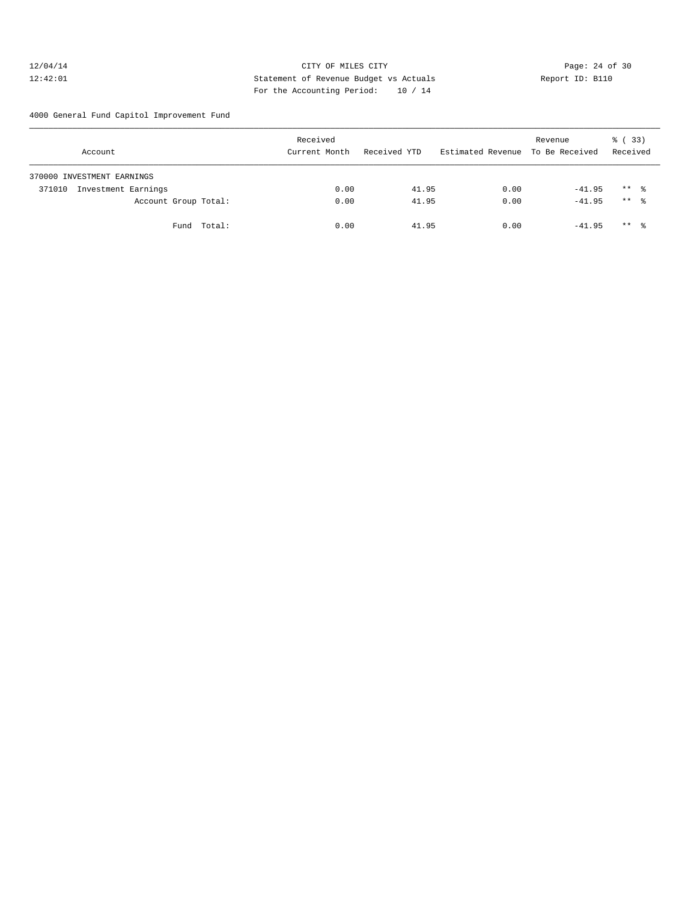# 12/04/14 Page: 24 of 30 12:42:01 Statement of Revenue Budget vs Actuals Report ID: B110 For the Accounting Period: 10 / 14

4000 General Fund Capitol Improvement Fund

| Account                       |             | Received<br>Current Month | Received YTD | Estimated Revenue To Be Received | Revenue  | % (33)<br>Received |
|-------------------------------|-------------|---------------------------|--------------|----------------------------------|----------|--------------------|
| 370000 INVESTMENT EARNINGS    |             |                           |              |                                  |          |                    |
| Investment Earnings<br>371010 |             | 0.00                      | 41.95        | 0.00                             | $-41.95$ | $***$ %            |
| Account Group Total:          |             | 0.00                      | 41.95        | 0.00                             | $-41.95$ | $***$ %            |
|                               | Fund Total: | 0.00                      | 41.95        | 0.00                             | $-41.95$ | $***$ %            |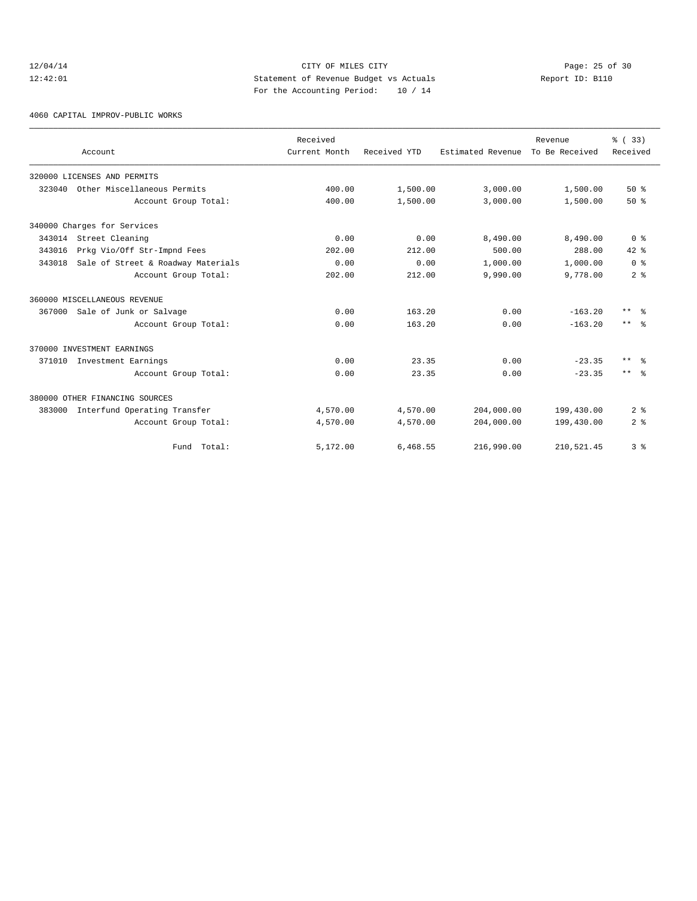# 12/04/14 Page: 25 of 30<br>12:42:01 CITY OF MILES CITY Page: 25 of 30<br>12:42:01 Statement of Revenue Budget vs Actuals<br>For the Accounting Positeir Positeir 10 (14 12:42:01 Statement of Revenue Budget vs Actuals Report ID: B110 For the Accounting Period: 10 / 14

4060 CAPITAL IMPROV-PUBLIC WORKS

|        |                                    | Received      |              |                   | Revenue        | % (33)               |
|--------|------------------------------------|---------------|--------------|-------------------|----------------|----------------------|
|        | Account                            | Current Month | Received YTD | Estimated Revenue | To Be Received | Received             |
|        | 320000 LICENSES AND PERMITS        |               |              |                   |                |                      |
| 323040 | Other Miscellaneous Permits        | 400.00        | 1,500.00     | 3,000.00          | 1,500.00       | 50%                  |
|        | Account Group Total:               | 400.00        | 1,500.00     | 3,000.00          | 1,500.00       | 50%                  |
|        | 340000 Charges for Services        |               |              |                   |                |                      |
|        | 343014 Street Cleaning             | 0.00          | 0.00         | 8,490.00          | 8,490.00       | 0 <sup>8</sup>       |
| 343016 | Prkg Vio/Off Str-Impnd Fees        | 202.00        | 212.00       | 500.00            | 288.00         | $42*$                |
| 343018 | Sale of Street & Roadway Materials | 0.00          | 0.00         | 1,000.00          | 1,000.00       | 0 <sup>8</sup>       |
|        | Account Group Total:               | 202.00        | 212.00       | 9,990.00          | 9,778.00       | 2 <sup>°</sup>       |
|        | 360000 MISCELLANEOUS REVENUE       |               |              |                   |                |                      |
|        | 367000 Sale of Junk or Salvage     | 0.00          | 163.20       | 0.00              | $-163.20$      | $***$ $ -$           |
|        | Account Group Total:               | 0.00          | 163.20       | 0.00              | $-163.20$      | $***$ $\approx$      |
|        | 370000 INVESTMENT EARNINGS         |               |              |                   |                |                      |
| 371010 | Investment Earnings                | 0.00          | 23.35        | 0.00              | $-23.35$       | $***$ $ \frac{6}{9}$ |
|        | Account Group Total:               | 0.00          | 23.35        | 0.00              | $-23.35$       | $***$ %              |
|        | 380000 OTHER FINANCING SOURCES     |               |              |                   |                |                      |
| 383000 | Interfund Operating Transfer       | 4,570.00      | 4,570.00     | 204,000.00        | 199,430.00     | 2 <sup>8</sup>       |
|        | Account Group Total:               | 4,570.00      | 4,570.00     | 204,000.00        | 199,430.00     | 2 <sup>8</sup>       |
|        | Fund Total:                        | 5,172.00      | 6,468.55     | 216,990.00        | 210,521.45     | 3 <sup>8</sup>       |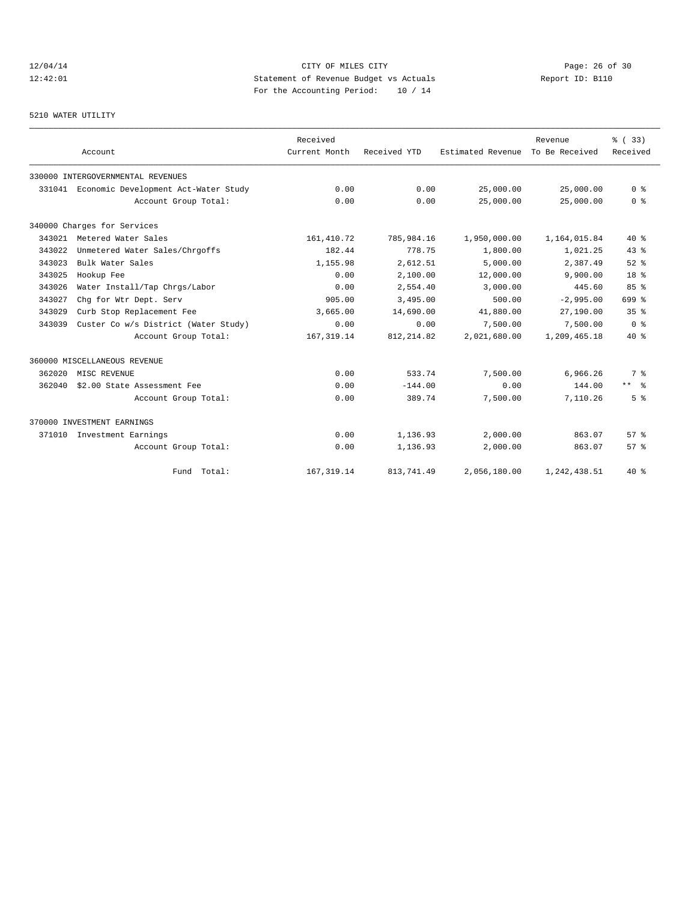# 12/04/14 Page: 26 of 30<br>12:42:01 CITY OF MILES CITY PAGE PROPERTY Page: 26 of 30<br>12:42:01 CITY OF MILES CITY Page: 26 of 30<br>12:42:01 Page: 26 of 30<br>20 Page: 26 of 30 12:42:01 Statement of Revenue Budget vs Actuals Report ID: B110 For the Accounting Period: 10 / 14

#### 5210 WATER UTILITY

|        | Account                              | Received<br>Current Month | Received YTD | Estimated Revenue To Be Received | Revenue      | % (33)<br>Received |
|--------|--------------------------------------|---------------------------|--------------|----------------------------------|--------------|--------------------|
|        | 330000 INTERGOVERNMENTAL REVENUES    |                           |              |                                  |              |                    |
| 331041 | Economic Development Act-Water Study | 0.00                      | 0.00         | 25,000.00                        | 25,000.00    | 0 <sup>8</sup>     |
|        | Account Group Total:                 | 0.00                      | 0.00         | 25,000.00                        | 25,000.00    | 0 <sup>8</sup>     |
|        | 340000 Charges for Services          |                           |              |                                  |              |                    |
| 343021 | Metered Water Sales                  | 161, 410.72               | 785,984.16   | 1,950,000.00                     | 1,164,015.84 | $40*$              |
| 343022 | Unmetered Water Sales/Chrgoffs       | 182.44                    | 778.75       | 1,800.00                         | 1,021.25     | 43.8               |
| 343023 | Bulk Water Sales                     | 1,155.98                  | 2,612.51     | 5,000.00                         | 2,387.49     | $52$ $%$           |
| 343025 | Hookup Fee                           | 0.00                      | 2,100.00     | 12,000.00                        | 9,900.00     | 18 <sup>8</sup>    |
| 343026 | Water Install/Tap Chrgs/Labor        | 0.00                      | 2,554.40     | 3,000.00                         | 445.60       | 85%                |
| 343027 | Chq for Wtr Dept. Serv               | 905.00                    | 3,495.00     | 500.00                           | $-2,995.00$  | 699 %              |
| 343029 | Curb Stop Replacement Fee            | 3,665.00                  | 14,690.00    | 41,880.00                        | 27,190.00    | 35 <sup>8</sup>    |
| 343039 | Custer Co w/s District (Water Study) | 0.00                      | 0.00         | 7,500.00                         | 7,500.00     | 0 <sup>8</sup>     |
|        | Account Group Total:                 | 167, 319.14               | 812, 214.82  | 2,021,680.00                     | 1,209,465.18 | $40*$              |
|        | 360000 MISCELLANEOUS REVENUE         |                           |              |                                  |              |                    |
| 362020 | MISC REVENUE                         | 0.00                      | 533.74       | 7,500.00                         | 6,966.26     | 7 %                |
| 362040 | \$2.00 State Assessment Fee          | 0.00                      | $-144.00$    | 0.00                             | 144.00       | $***$ %            |
|        | Account Group Total:                 | 0.00                      | 389.74       | 7,500.00                         | 7,110.26     | 5 <sup>8</sup>     |
|        | 370000 INVESTMENT EARNINGS           |                           |              |                                  |              |                    |
| 371010 | Investment Earnings                  | 0.00                      | 1,136.93     | 2,000.00                         | 863.07       | 57%                |
|        | Account Group Total:                 | 0.00                      | 1,136.93     | 2,000.00                         | 863.07       | 57 <sup>8</sup>    |
|        | Fund Total:                          | 167, 319.14               | 813,741.49   | 2,056,180.00                     | 1,242,438.51 | $40*$              |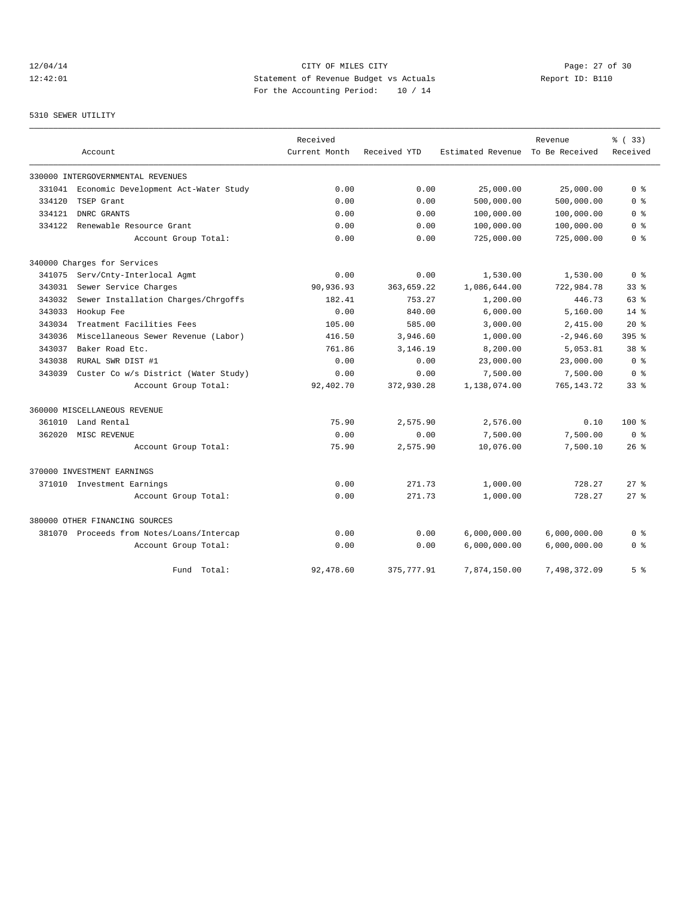# 12/04/14 Page: 27 of 30 12:42:01 Statement of Revenue Budget vs Actuals Report ID: B110 For the Accounting Period: 10 / 14

#### 5310 SEWER UTILITY

|        |                                           | Received      |              |                   | Revenue        | % (33)          |
|--------|-------------------------------------------|---------------|--------------|-------------------|----------------|-----------------|
|        | Account                                   | Current Month | Received YTD | Estimated Revenue | To Be Received | Received        |
|        | 330000 INTERGOVERNMENTAL REVENUES         |               |              |                   |                |                 |
| 331041 | Economic Development Act-Water Study      | 0.00          | 0.00         | 25,000.00         | 25,000.00      | 0 <sup>8</sup>  |
| 334120 | TSEP Grant                                | 0.00          | 0.00         | 500,000.00        | 500,000.00     | 0 <sup>8</sup>  |
| 334121 | DNRC GRANTS                               | 0.00          | 0.00         | 100,000.00        | 100,000.00     | 0 %             |
| 334122 | Renewable Resource Grant                  | 0.00          | 0.00         | 100,000.00        | 100,000.00     | 0 <sup>8</sup>  |
|        | Account Group Total:                      | 0.00          | 0.00         | 725,000.00        | 725,000.00     | 0 <sup>8</sup>  |
|        | 340000 Charges for Services               |               |              |                   |                |                 |
| 341075 | Serv/Cnty-Interlocal Agmt                 | 0.00          | 0.00         | 1,530.00          | 1,530.00       | 0 <sup>8</sup>  |
| 343031 | Sewer Service Charges                     | 90,936.93     | 363,659.22   | 1,086,644.00      | 722,984.78     | 338             |
| 343032 | Sewer Installation Charges/Chrgoffs       | 182.41        | 753.27       | 1,200.00          | 446.73         | 63%             |
| 343033 | Hookup Fee                                | 0.00          | 840.00       | 6,000.00          | 5.160.00       | 14%             |
| 343034 | Treatment Facilities Fees                 | 105.00        | 585.00       | 3,000.00          | 2,415.00       | $20*$           |
| 343036 | Miscellaneous Sewer Revenue (Labor)       | 416.50        | 3,946.60     | 1,000.00          | $-2,946.60$    | $395$ $%$       |
| 343037 | Baker Road Etc.                           | 761.86        | 3,146.19     | 8,200.00          | 5,053.81       | 38 <sup>8</sup> |
| 343038 | RURAL SWR DIST #1                         | 0.00          | 0.00         | 23,000.00         | 23,000.00      | 0 <sup>8</sup>  |
| 343039 | Custer Co w/s District (Water Study)      | 0.00          | 0.00         | 7,500.00          | 7,500.00       | 0 <sup>8</sup>  |
|        | Account Group Total:                      | 92,402.70     | 372,930.28   | 1,138,074.00      | 765, 143. 72   | $33$ $%$        |
|        | 360000 MISCELLANEOUS REVENUE              |               |              |                   |                |                 |
| 361010 | Land Rental                               | 75.90         | 2,575.90     | 2,576.00          | 0.10           | $100*$          |
| 362020 | MISC REVENUE                              | 0.00          | 0.00         | 7,500.00          | 7,500.00       | 0 <sup>8</sup>  |
|        | Account Group Total:                      | 75.90         | 2,575.90     | 10,076.00         | 7,500.10       | $26$ %          |
|        | 370000 INVESTMENT EARNINGS                |               |              |                   |                |                 |
| 371010 | Investment Earnings                       | 0.00          | 271.73       | 1,000.00          | 728.27         | $27$ $%$        |
|        | Account Group Total:                      | 0.00          | 271.73       | 1,000.00          | 728.27         | $27$ $\approx$  |
|        | 380000 OTHER FINANCING SOURCES            |               |              |                   |                |                 |
|        | 381070 Proceeds from Notes/Loans/Intercap | 0.00          | 0.00         | 6,000,000.00      | 6,000,000.00   | 0 %             |
|        | Account Group Total:                      | 0.00          | 0.00         | 6,000,000.00      | 6,000,000.00   | 0 <sup>8</sup>  |
|        | Fund Total:                               | 92,478.60     | 375,777.91   | 7,874,150.00      | 7,498,372.09   | 5 <sup>°</sup>  |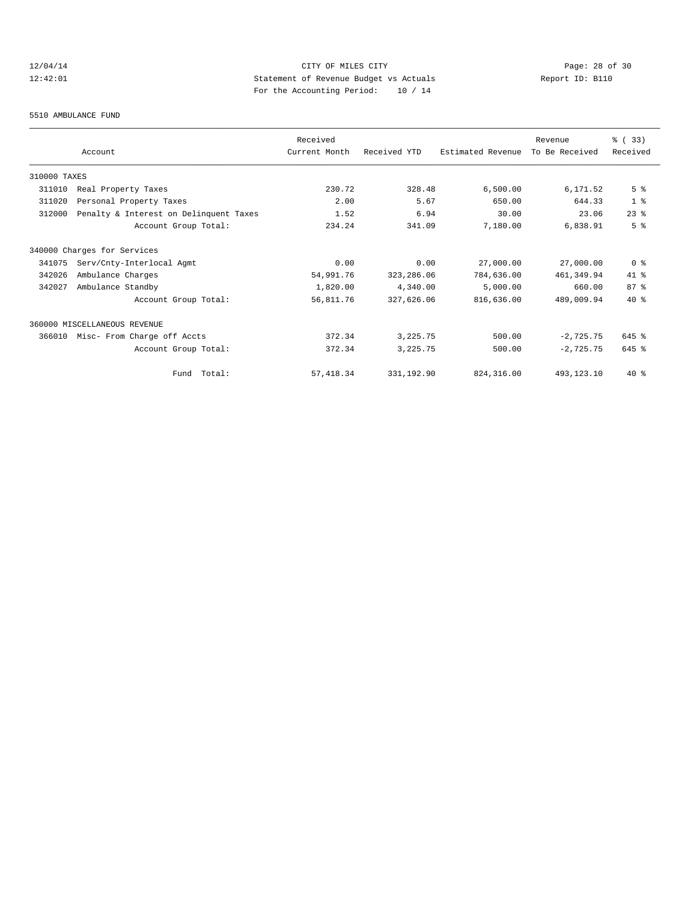# 12/04/14 Page: 28 of 30<br>12:42:01 CITY OF MILES CITY Page: 28 of 30<br>12:42:01 Statement of Revenue Budget vs Actuals<br>For the Accounting Positeir Positeir 10 (14 12:42:01 Statement of Revenue Budget vs Actuals Report ID: B110 For the Accounting Period: 10 / 14

#### 5510 AMBULANCE FUND

|              |                                        | Received      |              |                   | Revenue        | % (33)         |
|--------------|----------------------------------------|---------------|--------------|-------------------|----------------|----------------|
|              | Account                                | Current Month | Received YTD | Estimated Revenue | To Be Received | Received       |
| 310000 TAXES |                                        |               |              |                   |                |                |
| 311010       | Real Property Taxes                    | 230.72        | 328.48       | 6,500.00          | 6,171.52       | 5 <sup>8</sup> |
| 311020       | Personal Property Taxes                | 2.00          | 5.67         | 650.00            | 644.33         | 1 <sup>8</sup> |
| 312000       | Penalty & Interest on Delinquent Taxes | 1.52          | 6.94         | 30.00             | 23.06          | $23$ $%$       |
|              | Account Group Total:                   | 234.24        | 341.09       | 7,180.00          | 6,838.91       | 5 <sup>8</sup> |
|              | 340000 Charges for Services            |               |              |                   |                |                |
| 341075       | Serv/Cnty-Interlocal Agmt              | 0.00          | 0.00         | 27,000.00         | 27,000.00      | 0 <sup>8</sup> |
| 342026       | Ambulance Charges                      | 54,991.76     | 323,286.06   | 784,636.00        | 461, 349.94    | $41*$          |
| 342027       | Ambulance Standby                      | 1,820.00      | 4,340.00     | 5,000.00          | 660.00         | 87%            |
|              | Account Group Total:                   | 56,811.76     | 327,626.06   | 816,636.00        | 489,009.94     | $40*$          |
|              | 360000 MISCELLANEOUS REVENUE           |               |              |                   |                |                |
| 366010       | Misc- From Charge off Accts            | 372.34        | 3,225.75     | 500.00            | $-2,725.75$    | 645 %          |
|              | Account Group Total:                   | 372.34        | 3,225.75     | 500.00            | $-2,725.75$    | 645 %          |
|              | Fund Total:                            | 57, 418.34    | 331,192.90   | 824, 316, 00      | 493, 123, 10   | $40*$          |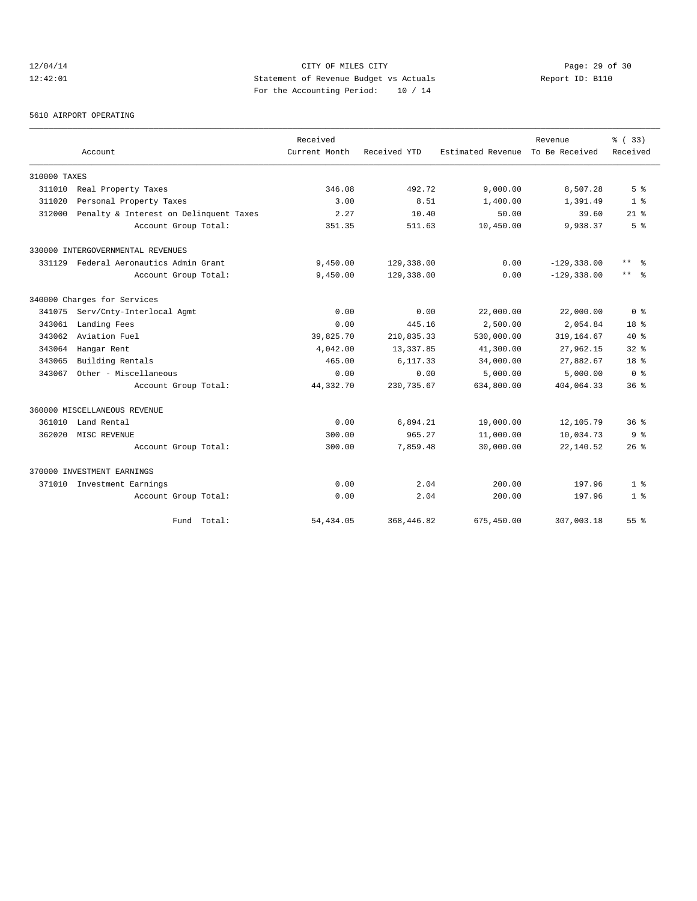# 12/04/14 Page: 29 of 30 12:42:01 Statement of Revenue Budget vs Actuals Report ID: B110 For the Accounting Period: 10 / 14

5610 AIRPORT OPERATING

|              |                                        | Received      |              |                   | Revenue        | % ( 33)                 |
|--------------|----------------------------------------|---------------|--------------|-------------------|----------------|-------------------------|
|              | Account                                | Current Month | Received YTD | Estimated Revenue | To Be Received | Received                |
| 310000 TAXES |                                        |               |              |                   |                |                         |
| 311010       | Real Property Taxes                    | 346.08        | 492.72       | 9,000.00          | 8,507.28       | 5 <sup>8</sup>          |
| 311020       | Personal Property Taxes                | 3.00          | 8.51         | 1,400.00          | 1,391.49       | 1 <sup>8</sup>          |
| 312000       | Penalty & Interest on Delinquent Taxes | 2.27          | 10.40        | 50.00             | 39.60          | $21*$                   |
|              | Account Group Total:                   | 351.35        | 511.63       | 10,450.00         | 9,938.37       | 5 <sup>8</sup>          |
|              | 330000 INTERGOVERNMENTAL REVENUES      |               |              |                   |                |                         |
| 331129       | Federal Aeronautics Admin Grant        | 9,450.00      | 129,338.00   | 0.00              | $-129, 338.00$ | $***$<br>- 옹            |
|              | Account Group Total:                   | 9,450.00      | 129,338.00   | 0.00              | $-129, 338.00$ | $***$ $ \frac{6}{9}$    |
|              | 340000 Charges for Services            |               |              |                   |                |                         |
| 341075       | Serv/Cnty-Interlocal Agmt              | 0.00          | 0.00         | 22,000.00         | 22,000.00      | 0 <sup>8</sup>          |
| 343061       | Landing Fees                           | 0.00          | 445.16       | 2,500.00          | 2,054.84       | 18 <sup>8</sup>         |
| 343062       | Aviation Fuel                          | 39,825.70     | 210,835.33   | 530,000.00        | 319, 164.67    | $40*$                   |
| 343064       | Hangar Rent                            | 4,042.00      | 13, 337.85   | 41,300.00         | 27,962.15      | $32*$                   |
| 343065       | Building Rentals                       | 465.00        | 6,117.33     | 34,000.00         | 27,882.67      | 18 <sup>8</sup>         |
| 343067       | Other - Miscellaneous                  | 0.00          | 0.00         | 5,000.00          | 5,000.00       | $0 \text{ }$ $\text{ }$ |
|              | Account Group Total:                   | 44,332.70     | 230,735.67   | 634,800.00        | 404,064.33     | 36 <sup>8</sup>         |
|              | 360000 MISCELLANEOUS REVENUE           |               |              |                   |                |                         |
| 361010       | Land Rental                            | 0.00          | 6,894.21     | 19,000.00         | 12,105.79      | 36 <sup>8</sup>         |
| 362020       | MISC REVENUE                           | 300.00        | 965.27       | 11,000.00         | 10,034.73      | 9 <sup>8</sup>          |
|              | Account Group Total:                   | 300.00        | 7,859.48     | 30,000.00         | 22,140.52      | $26$ $\frac{6}{3}$      |
|              | 370000 INVESTMENT EARNINGS             |               |              |                   |                |                         |
|              | 371010 Investment Earnings             | 0.00          | 2.04         | 200.00            | 197.96         | 1 <sup>8</sup>          |
|              | Account Group Total:                   | 0.00          | 2.04         | 200.00            | 197.96         | 1 <sup>8</sup>          |
|              | Fund Total:                            | 54, 434.05    | 368,446.82   | 675,450.00        | 307,003.18     | 55 <sup>8</sup>         |